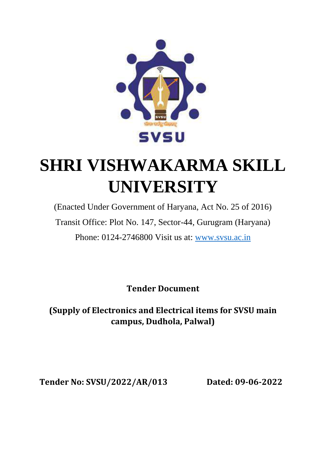

# **SHRI VISHWAKARMA SKILL UNIVERSITY**

(Enacted Under Government of Haryana, Act No. 25 of 2016) Transit Office: Plot No. 147, Sector-44, Gurugram (Haryana) Phone: 0124-2746800 Visit us at: [www.svsu.ac.in](http://www.svsu.ac.in/)

**Tender Document**

**(Supply of Electronics and Electrical items for SVSU main campus, Dudhola, Palwal)**

**Tender No: SVSU/2022/AR/013 Dated: 09-06-2022**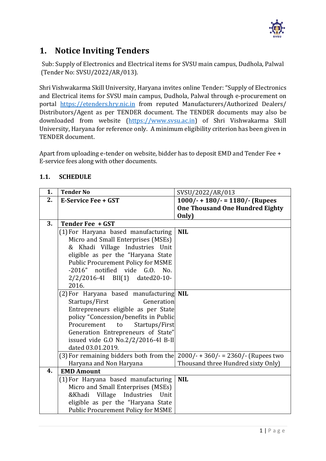

# **1. Notice Inviting Tenders**

Sub: Supply of Electronics and Electrical items for SVSU main campus, Dudhola, Palwal (Tender No: SVSU/2022/AR/013).

Shri Vishwakarma Skill University, Haryana invites online Tender: "Supply of Electronics and Electrical items for SVSU main campus, Dudhola, Palwal through e-procurement on portal [https://etenders.hry.nic.in](https://etenders.hry.nic.in/) from reputed Manufacturers/Authorized Dealers/ Distributors/Agent as per TENDER document. The TENDER documents may also be downloaded from website [\(https://www.svsu.ac.in\)](https://www.svsu.ac.in/) of Shri Vishwakarma Skill University, Haryana for reference only. A minimum eligibility criterion has been given in TENDER document.

Apart from uploading e-tender on website, bidder has to deposit EMD and Tender Fee + E-service fees along with other documents.

#### **1.1. SCHEDULE**

| 1. | <b>Tender No</b>                                                              | SVSU/2022/AR/013                       |
|----|-------------------------------------------------------------------------------|----------------------------------------|
| 2. | <b>E-Service Fee + GST</b>                                                    | $1000/- + 180/- = 1180/-$ (Rupees      |
|    |                                                                               | <b>One Thousand One Hundred Eighty</b> |
|    |                                                                               | Only)                                  |
| 3. | Tender Fee + GST                                                              |                                        |
|    | (1) For Haryana based manufacturing                                           | <b>NIL</b>                             |
|    | Micro and Small Enterprises (MSEs)                                            |                                        |
|    | & Khadi Village Industries Unit                                               |                                        |
|    | eligible as per the "Haryana State                                            |                                        |
|    | <b>Public Procurement Policy for MSME</b>                                     |                                        |
|    | -2016" notified vide G.O. No.                                                 |                                        |
|    | 2/2/2016-4I BII(1) dated20-10-                                                |                                        |
|    | 2016.                                                                         |                                        |
|    | (2) For Haryana based manufacturing <b>NIL</b>                                |                                        |
|    | Startups/First<br>Generation                                                  |                                        |
|    | Entrepreneurs eligible as per State                                           |                                        |
|    | policy "Concession/benefits in Public                                         |                                        |
|    | Procurement<br>to<br>Startups/First                                           |                                        |
|    | Generation Entrepreneurs of State"                                            |                                        |
|    | issued vide G.O No.2/2/2016-4I B-II                                           |                                        |
|    | dated 03.01.2019.                                                             |                                        |
|    | (3) For remaining bidders both from the $2000/- + 360/- = 2360/-$ (Rupees two |                                        |
|    | Haryana and Non Haryana                                                       | Thousand three Hundred sixty Only)     |
| 4. | <b>EMD Amount</b>                                                             |                                        |
|    | (1) For Haryana based manufacturing                                           | <b>NIL</b>                             |
|    | Micro and Small Enterprises (MSEs)                                            |                                        |
|    | Village<br>Industries<br>&Khadi<br>Unit                                       |                                        |
|    | eligible as per the "Haryana State                                            |                                        |
|    | <b>Public Procurement Policy for MSME</b>                                     |                                        |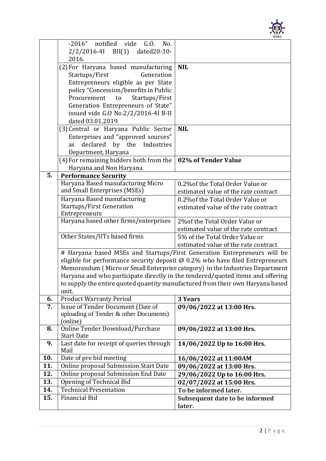

|     | -2016" notified vide G.O.<br>No.                                                |                                                                                |  |
|-----|---------------------------------------------------------------------------------|--------------------------------------------------------------------------------|--|
|     | 2/2/2016-4I BII(1) dated20-10-                                                  |                                                                                |  |
|     | 2016.                                                                           |                                                                                |  |
|     | (2) For Haryana based manufacturing                                             | <b>NIL</b>                                                                     |  |
|     | Startups/First<br>Generation                                                    |                                                                                |  |
|     | Entrepreneurs eligible as per State                                             |                                                                                |  |
|     | policy "Concession/benefits in Public                                           |                                                                                |  |
|     | to<br>Startups/First<br>Procurement                                             |                                                                                |  |
|     | Generation Entrepreneurs of State"                                              |                                                                                |  |
|     | issued vide G.O No.2/2/2016-4I B-II                                             |                                                                                |  |
|     | dated 03.01.2019.                                                               |                                                                                |  |
|     | (3) Central or Haryana Public Sector                                            | <b>NIL</b>                                                                     |  |
|     | Enterprises and "approved sources"                                              |                                                                                |  |
|     | declared<br>by the<br>Industries<br>as                                          |                                                                                |  |
|     | Department, Haryana                                                             |                                                                                |  |
|     | (4) For remaining bidders both from the                                         | 02% of Tender Value                                                            |  |
| 5.  | Haryana and Non Haryana<br><b>Performance Security</b>                          |                                                                                |  |
|     | Haryana Based manufacturing Micro                                               | 0.2% of the Total Order Value or                                               |  |
|     | and Small Enterprises (MSEs)                                                    | estimated value of the rate contract                                           |  |
|     | Haryana Based manufacturing                                                     | 0.2% of the Total Order Value or                                               |  |
|     | <b>Startups/First Generation</b>                                                | estimated value of the rate contract                                           |  |
|     | Entrepreneurs                                                                   |                                                                                |  |
|     | Haryana based other firms/enterprises                                           | 2% of the Total Order Value or                                                 |  |
|     |                                                                                 | estimated value of the rate contract                                           |  |
|     | Other States/UTs based firms                                                    | 5% of the Total Order Value or                                                 |  |
|     |                                                                                 | estimated value of the rate contract                                           |  |
|     | # Haryana based MSEs and Startups/First Generation Entrepreneurs will be        |                                                                                |  |
|     | eligible for performance security deposit $@$ 0.2% who have filed Entrepreneurs |                                                                                |  |
|     | Memorandum (Micro or Small Enterprise category) in the Industries Department    |                                                                                |  |
|     | Haryana and who participate directly in the tendered/quoted items and offering  |                                                                                |  |
|     |                                                                                 | to supply the entire quoted quantity manufactured from their own Haryana based |  |
|     | unit.                                                                           |                                                                                |  |
| 6.  | <b>Product Warranty Period</b>                                                  | 3 Years                                                                        |  |
| 7.  | Issue of Tender Document (Date of                                               | 09/06/2022 at 13:00 Hrs.                                                       |  |
|     | uploading of Tender & other Documents)                                          |                                                                                |  |
|     | (online)                                                                        |                                                                                |  |
| 8.  | Online Tender Download/Purchase                                                 | 09/06/2022 at 13:00 Hrs.                                                       |  |
| 9.  | <b>Start Date</b><br>Last date for receipt of queries through                   | 14/06/2022 Up to 16:00 Hrs.                                                    |  |
|     | Mail                                                                            |                                                                                |  |
| 10. | Date of pre bid meeting                                                         | 16/06/2022 at 11:00AM                                                          |  |
| 11. | <b>Online proposal Submission Start Date</b>                                    | 09/06/2022 at 13:00 Hrs.                                                       |  |
| 12. | Online proposal Submission End Date                                             | 29/06/2022 Up to 16:00 Hrs.                                                    |  |
| 13. | <b>Opening of Technical Bid</b>                                                 | 02/07/2022 at 15:00 Hrs.                                                       |  |
| 14. | <b>Technical Presentation</b>                                                   | To be informed later.                                                          |  |
| 15. | <b>Financial Bid</b>                                                            | Subsequent date to be informed                                                 |  |
|     |                                                                                 | later.                                                                         |  |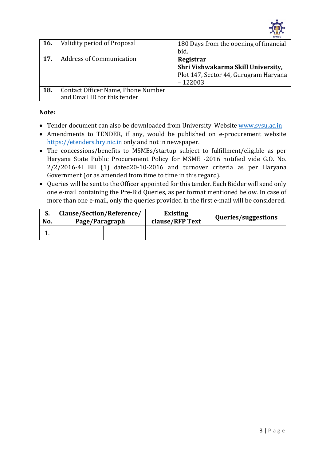

| <b>16.</b> | Validity period of Proposal        | 180 Days from the opening of financial<br>bid. |
|------------|------------------------------------|------------------------------------------------|
|            |                                    |                                                |
| 17.        | <b>Address of Communication</b>    | Registrar                                      |
|            |                                    | Shri Vishwakarma Skill University,             |
|            |                                    | Plot 147, Sector 44, Gurugram Haryana          |
|            |                                    | $-122003$                                      |
| 18.        | Contact Officer Name, Phone Number |                                                |
|            | and Email ID for this tender       |                                                |

#### **Note:**

- Tender document can also be downloaded from University Website [www.svsu.ac.in](http://www.svsu.ac.in/)
- Amendments to TENDER, if any, would be published on e-procurement website [https://etenders.hry.nic.in](https://etenders.hry.nic.in/) only and not in newspaper.
- The concessions/benefits to MSMEs/startup subject to fulfillment/eligible as per Haryana State Public Procurement Policy for MSME -2016 notified vide G.O. No. 2/2/2016-4I BII (1) dated20-10-2016 and turnover criteria as per Haryana Government (or as amended from time to time in this regard).
- Queries will be sent to the Officer appointed for this tender. Each Bidder will send only one e-mail containing the Pre-Bid Queries, as per format mentioned below. In case of more than one e-mail, only the queries provided in the first e-mail will be considered.

| No. | Clause/Section/Reference/<br>Page/Paragraph |  | <b>Existing</b><br>clause/RFP Text | Queries/suggestions |
|-----|---------------------------------------------|--|------------------------------------|---------------------|
|     |                                             |  |                                    |                     |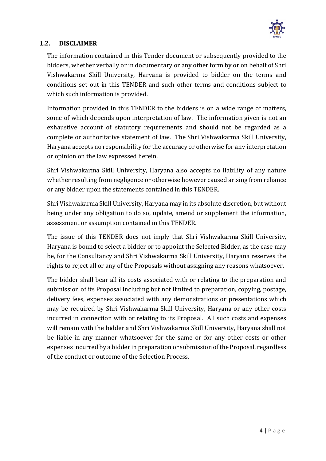

#### **1.2. DISCLAIMER**

The information contained in this Tender document or subsequently provided to the bidders, whether verbally or in documentary or any other form by or on behalf of Shri Vishwakarma Skill University, Haryana is provided to bidder on the terms and conditions set out in this TENDER and such other terms and conditions subject to which such information is provided.

Information provided in this TENDER to the bidders is on a wide range of matters, some of which depends upon interpretation of law. The information given is not an exhaustive account of statutory requirements and should not be regarded as a complete or authoritative statement of law. The Shri Vishwakarma Skill University, Haryana accepts no responsibility for the accuracy or otherwise for any interpretation or opinion on the law expressed herein.

Shri Vishwakarma Skill University, Haryana also accepts no liability of any nature whether resulting from negligence or otherwise however caused arising from reliance or any bidder upon the statements contained in this TENDER.

Shri Vishwakarma Skill University, Haryana may in its absolute discretion, but without being under any obligation to do so, update, amend or supplement the information, assessment or assumption contained in this TENDER.

The issue of this TENDER does not imply that Shri Vishwakarma Skill University, Haryana is bound to select a bidder or to appoint the Selected Bidder, as the case may be, for the Consultancy and Shri Vishwakarma Skill University, Haryana reserves the rights to reject all or any of the Proposals without assigning any reasons whatsoever.

The bidder shall bear all its costs associated with or relating to the preparation and submission of its Proposal including but not limited to preparation, copying, postage, delivery fees, expenses associated with any demonstrations or presentations which may be required by Shri Vishwakarma Skill University, Haryana or any other costs incurred in connection with or relating to its Proposal. All such costs and expenses will remain with the bidder and Shri Vishwakarma Skill University, Haryana shall not be liable in any manner whatsoever for the same or for any other costs or other expenses incurred by a bidder in preparation or submission of the Proposal, regardless of the conduct or outcome of the Selection Process.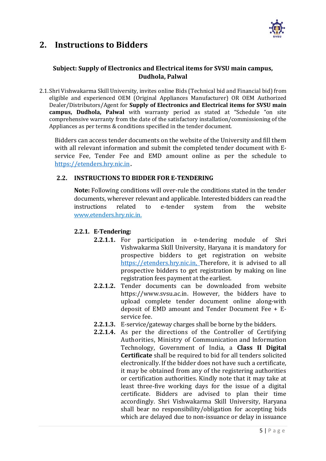

# **2. Instructions to Bidders**

#### **Subject: Supply of Electronics and Electrical items for SVSU main campus, Dudhola, Palwal**

2.1.Shri Vishwakarma Skill University, invites online Bids (Technical bid and Financial bid) from eligible and experienced OEM (Original Appliances Manufacturer) OR OEM Authorized Dealer/Distributors/Agent for **Supply of Electronics and Electrical items for SVSU main campus, Dudhola, Palwal** with warranty period as stated at "Schedule "on site comprehensive warranty from the date of the satisfactory installation/commissioning of the Appliances as per terms & conditions specified in the tender document.

Bidders can access tender documents on the website of the University and fill them with all relevant information and submit the completed tender document with Eservice Fee, Tender Fee and EMD amount online as per the schedule to [https://etenders.hry.nic.in](https://etenders.hry.nic.in/).

#### **2.2. INSTRUCTIONS TO BIDDER FOR E-TENDERING**

**Note:** Following conditions will over-rule the conditions stated in the tender documents, wherever relevant and applicable. Interested bidders can read the instructions related to e-tender system from the website [www.etenders.hry.nic.in.](http://www.etenders.hry.nic.in/)

#### **2.2.1. E-Tendering:**

- **2.2.1.1.** For participation in e-tendering module of Shri Vishwakarma Skill University, Haryana it is mandatory for prospective bidders to get registration on website [https://etenders.hry.nic.in,](https://etenders.hry.nic.in/) Therefore, it is advised to all prospective bidders to get registration by making on line registration fees payment at the earliest.
- **2.2.1.2.** Tender documents can be downloaded from website https://www.svsu.ac.in. However, the bidders have to upload complete tender document online along-with deposit of EMD amount and Tender Document Fee + Eservice fee.
- **2.2.1.3.** E-service/gateway charges shall be borne by the bidders.
- **2.2.1.4.** As per the directions of the Controller of Certifying Authorities, Ministry of Communication and Information Technology, Government of India, a **Class II Digital Certificate** shall be required to bid for all tenders solicited electronically. If the bidder does not have such a certificate, it may be obtained from any of the registering authorities or certification authorities. Kindly note that it may take at least three-five working days for the issue of a digital certificate. Bidders are advised to plan their time accordingly. Shri Vishwakarma Skill University, Haryana shall bear no responsibility/obligation for accepting bids which are delayed due to non-issuance or delay in issuance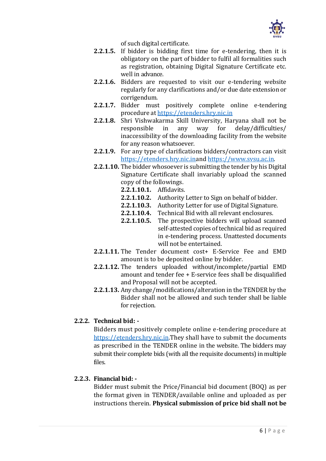

of such digital certificate.

- **2.2.1.5.** If bidder is bidding first time for e-tendering, then it is obligatory on the part of bidder to fulfil all formalities such as registration, obtaining Digital Signature Certificate etc. well in advance.
- **2.2.1.6.** Bidders are requested to visit our e-tendering website regularly for any clarifications and/or due date extension or corrigendum.
- **2.2.1.7.** Bidder must positively complete online e-tendering procedure at [https://etenders.hry.nic.in](https://etenders.hry.nic.in/)
- **2.2.1.8.** Shri Vishwakarma Skill University, Haryana shall not be responsible in any way for delay/difficulties/ inaccessibility of the downloading facility from the website for any reason whatsoever.
- **2.2.1.9.** For any type of clarifications bidders/contractors can visit [https://etenders.hry.nic.ina](https://etenders.hry.nic.in/)n[d https://www.svsu.ac.in.](http://www.svsu.ac.in/)
- **2.2.1.10.** The bidder whosoever is submitting the tender by his Digital Signature Certificate shall invariably upload the scanned copy of the followings.
	- **2.2.1.10.1.** Affidavits.
	- **2.2.1.10.2.** Authority Letter to Sign on behalf of bidder.
	- **2.2.1.10.3.** Authority Letter for use of Digital Signature.
	- **2.2.1.10.4.** Technical Bid with all relevant enclosures.
	- **2.2.1.10.5.** The prospective bidders will upload scanned self-attested copies of technical bid as required in e-tendering process. Unattested documents will not be entertained.
- **2.2.1.11.** The Tender document cost+ E-Service Fee and EMD amount is to be deposited online by bidder.
- **2.2.1.12.** The tenders uploaded without/incomplete/partial EMD amount and tender fee + E-service fees shall be disqualified and Proposal will not be accepted.
- **2.2.1.13.** Any change/modifications/alteration in the TENDER by the Bidder shall not be allowed and such tender shall be liable for rejection.

#### **2.2.2. Technical bid: -**

Bidders must positively complete online e-tendering procedure at [https://etenders.hry.nic.in.](https://etenders.hry.nic.in/)They shall have to submit the documents as prescribed in the TENDER online in the website. The bidders may submit their complete bids (with all the requisite documents) in multiple files.

#### **2.2.3. Financial bid: -**

Bidder must submit the Price/Financial bid document (BOQ) as per the format given in TENDER/available online and uploaded as per instructions therein. **Physical submission of price bid shall not be**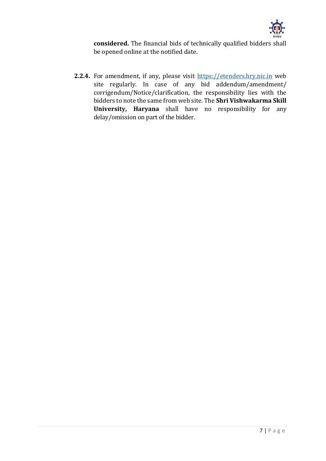

**considered.** The financial bids of technically qualified bidders shall be opened online at the notified date.

**2.2.4.** For amendment, if any, please visit [https://etenders.hry.nic.in](https://etenders.hry.nic.in/) web site regularly. In case of any bid addendum/amendment/ corrigendum/Notice/clarification, the responsibility lies with the bidders to note the same from web site. The **Shri Vishwakarma Skill University, Haryana** shall have no responsibility for any delay/omission on part of the bidder.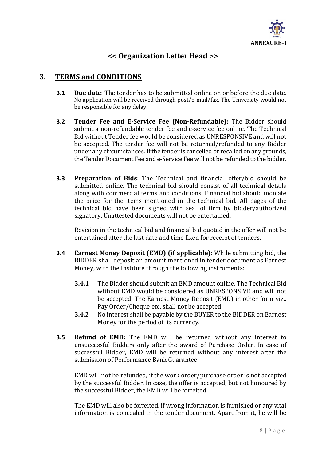

# **<< Organization Letter Head >>**

# **3. TERMS and CONDITIONS**

- **3.1 Due date**: The tender has to be submitted online on or before the due date. No application will be received through post/e-mail/fax. The University would not be responsible for any delay.
- **3.2 Tender Fee and E-Service Fee (Non-Refundable):** The Bidder should submit a non-refundable tender fee and e-service fee online. The Technical Bid without Tender fee would be considered as UNRESPONSIVE and will not be accepted. The tender fee will not be returned/refunded to any Bidder under any circumstances. If the tender is cancelled or recalled on any grounds, the Tender Document Fee and e-Service Fee will not be refunded to the bidder.
- **3.3 Preparation of Bids**: The Technical and financial offer/bid should be submitted online. The technical bid should consist of all technical details along with commercial terms and conditions. Financial bid should indicate the price for the items mentioned in the technical bid. All pages of the technical bid have been signed with seal of firm by bidder/authorized signatory. Unattested documents will not be entertained.

Revision in the technical bid and financial bid quoted in the offer will not be entertained after the last date and time fixed for receipt of tenders.

- **3.4 Earnest Money Deposit (EMD) (if applicable):** While submitting bid, the BIDDER shall deposit an amount mentioned in tender document as Earnest Money, with the Institute through the following instruments:
	- **3.4.1** The Bidder should submit an EMD amount online. The Technical Bid without EMD would be considered as UNRESPONSIVE and will not be accepted. The Earnest Money Deposit (EMD) in other form viz., Pay Order/Cheque etc. shall not be accepted.
	- **3.4.2** No interest shall be payable by the BUYER to the BIDDER on Earnest Money for the period of its currency.
- **3.5 Refund of EMD:** The EMD will be returned without any interest to unsuccessful Bidders only after the award of Purchase Order. In case of successful Bidder, EMD will be returned without any interest after the submission of Performance Bank Guarantee.

EMD will not be refunded, if the work order/purchase order is not accepted by the successful Bidder. In case, the offer is accepted, but not honoured by the successful Bidder, the EMD will be forfeited.

The EMD will also be forfeited, if wrong information is furnished or any vital information is concealed in the tender document. Apart from it, he will be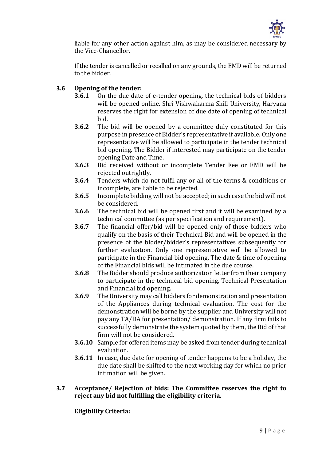

liable for any other action against him, as may be considered necessary by the Vice-Chancellor.

If the tender is cancelled or recalled on any grounds, the EMD will be returned to the bidder.

#### **3.6 Opening of the tender:**

- **3.6.1** On the due date of e-tender opening, the technical bids of bidders will be opened online. Shri Vishwakarma Skill University, Haryana reserves the right for extension of due date of opening of technical bid.
- **3.6.2** The bid will be opened by a committee duly constituted for this purpose in presence of Bidder's representative if available. Only one representative will be allowed to participate in the tender technical bid opening. The Bidder if interested may participate on the tender opening Date and Time.
- **3.6.3** Bid received without or incomplete Tender Fee or EMD will be rejected outrightly.
- **3.6.4** Tenders which do not fulfil any or all of the terms & conditions or incomplete, are liable to be rejected.
- **3.6.5** Incomplete bidding will not be accepted; in such case the bid will not be considered.
- **3.6.6** The technical bid will be opened first and it will be examined by a technical committee (as per specification and requirement).
- **3.6.7** The financial offer/bid will be opened only of those bidders who qualify on the basis of their Technical Bid and will be opened in the presence of the bidder/bidder's representatives subsequently for further evaluation. Only one representative will be allowed to participate in the Financial bid opening. The date & time of opening of the Financial bids will be intimated in the due course.
- **3.6.8** The Bidder should produce authorization letter from their company to participate in the technical bid opening, Technical Presentation and Financial bid opening.
- **3.6.9** The University may call bidders for demonstration and presentation of the Appliances during technical evaluation. The cost for the demonstration will be borne by the supplier and University will not pay any TA/DA for presentation/ demonstration. If any firm fails to successfully demonstrate the system quoted by them, the Bid of that firm will not be considered.
- **3.6.10** Sample for offered items may be asked from tender during technical evaluation.
- **3.6.11** In case, due date for opening of tender happens to be a holiday, the due date shall be shifted to the next working day for which no prior intimation will be given.

#### **3.7 Acceptance/ Rejection of bids: The Committee reserves the right to reject any bid not fulfilling the eligibility criteria.**

#### **Eligibility Criteria:**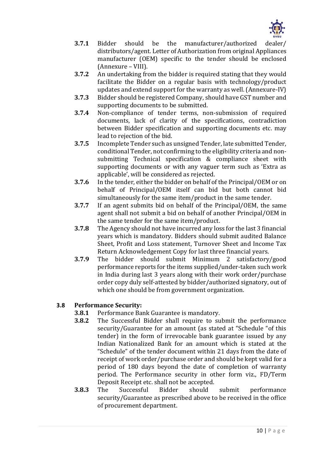

- **3.7.1** Bidder should be the manufacturer/authorized dealer/ distributors/agent. Letter of Authorization from original Appliances manufacturer (OEM) specific to the tender should be enclosed (Annexure – VIII).
- **3.7.2** An undertaking from the bidder is required stating that they would facilitate the Bidder on a regular basis with technology/product updates and extend support for the warranty as well. (Annexure-IV)
- **3.7.3** Bidder should be registered Company, should have GST number and supporting documents to be submitted.
- **3.7.4** Non-compliance of tender terms, non-submission of required documents, lack of clarity of the specifications, contradiction between Bidder specification and supporting documents etc. may lead to rejection of the bid.
- **3.7.5** Incomplete Tender such as unsigned Tender, late submitted Tender, conditional Tender, not confirming to the eligibility criteria and nonsubmitting Technical specification & compliance sheet with supporting documents or with any vaguer term such as 'Extra as applicable', will be considered as rejected.
- **3.7.6** In the tender, either the bidder on behalf of the Principal/OEM or on behalf of Principal/OEM itself can bid but both cannot bid simultaneously for the same item/product in the same tender.
- **3.7.7** If an agent submits bid on behalf of the Principal/OEM, the same agent shall not submit a bid on behalf of another Principal/OEM in the same tender for the same item/product.
- **3.7.8** The Agency should not have incurred any loss for the last 3 financial years which is mandatory. Bidders should submit audited Balance Sheet, Profit and Loss statement, Turnover Sheet and Income Tax Return Acknowledgement Copy for last three financial years.
- **3.7.9** The bidder should submit Minimum 2 satisfactory/good performance reports for the items supplied/under-taken such work in India during last 3 years along with their work order/purchase order copy duly self-attested by bidder/authorized signatory, out of which one should be from government organization.

#### **3.8 Performance Security:**

- **3.8.1** Performance Bank Guarantee is mandatory.
- **3.8.2** The Successful Bidder shall require to submit the performance security/Guarantee for an amount (as stated at "Schedule "of this tender) in the form of irrevocable bank guarantee issued by any Indian Nationalized Bank for an amount which is stated at the "Schedule" of the tender document within 21 days from the date of receipt of work order/purchase order and should be kept valid for a period of 180 days beyond the date of completion of warranty period. The Performance security in other form viz., FD/Term Deposit Receipt etc. shall not be accepted.
- **3.8.3** The Successful Bidder should submit performance security/Guarantee as prescribed above to be received in the office of procurement department.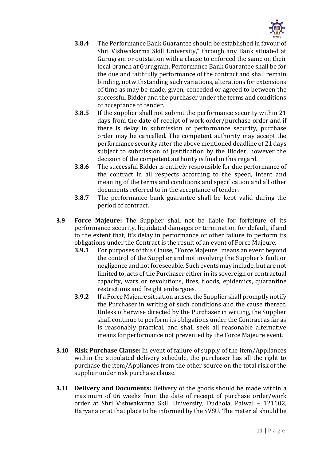

- **3.8.4** The Performance Bank Guarantee should be established in favour of Shri Vishwakarma Skill University," through any Bank situated at Gurugram or outstation with a clause to enforced the same on their local branch at Gurugram. Performance Bank Guarantee shall be for the due and faithfully performance of the contract and shall remain binding, notwithstanding such variations, alterations for extensions of time as may be made, given, conceded or agreed to between the successful Bidder and the purchaser under the terms and conditions of acceptance to tender.
- **3.8.5** If the supplier shall not submit the performance security within 21 days from the date of receipt of work order/purchase order and if there is delay in submission of performance security, purchase order may be cancelled. The competent authority may accept the performance security after the above mentioned deadline of 21 days subject to submission of justification by the Bidder, however the decision of the competent authority is final in this regard.
- **3.8.6** The successful Bidder is entirely responsible for due performance of the contract in all respects according to the speed, intent and meaning of the terms and conditions and specification and all other documents referred to in the acceptance of tender.
- **3.8.7** The performance bank guarantee shall be kept valid during the period of contract.
- **3.9 Force Majeure:** The Supplier shall not be liable for forfeiture of its performance security, liquidated damages or termination for default, if and to the extent that, it's delay in performance or other failure to perform its obligations under the Contract is the result of an event of Force Majeure.
	- **3.9.1** For purposes of this Clause, "Force Majeure" means an event beyond the control of the Supplier and not involving the Supplier's fault or negligence and not foreseeable. Such events may include, but are not limited to, acts of the Purchaser either in its sovereign or contractual capacity, wars or revolutions, fires, floods, epidemics, quarantine restrictions and freight embargoes.
	- **3.9.2** If a Force Majeure situation arises, the Supplier shall promptly notify the Purchaser in writing of such conditions and the cause thereof. Unless otherwise directed by the Purchaser in writing, the Supplier shall continue to perform its obligations under the Contract as far as is reasonably practical, and shall seek all reasonable alternative means for performance not prevented by the Force Majeure event.
- **3.10 Risk Purchase Clause:** In event of failure of supply of the item/Appliances within the stipulated delivery schedule, the purchaser has all the right to purchase the item/Appliances from the other source on the total risk of the supplier under risk purchase clause.
- **3.11 Delivery and Documents:** Delivery of the goods should be made within a maximum of 06 weeks from the date of receipt of purchase order/work order at Shri Vishwakarma Skill University, Dudhola, Palwal – 121102, Haryana or at that place to be informed by the SVSU. The material should be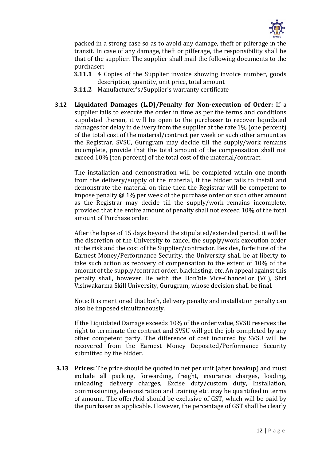

packed in a strong case so as to avoid any damage, theft or pilferage in the transit. In case of any damage, theft or pilferage, the responsibility shall be that of the supplier. The supplier shall mail the following documents to the purchaser:

- **3.11.1** 4 Copies of the Supplier invoice showing invoice number, goods description, quantity, unit price, total amount
- **3.11.2** Manufacturer's/Supplier's warranty certificate
- **3.12 Liquidated Damages (L.D)/Penalty for Non-execution of Order:** If a supplier fails to execute the order in time as per the terms and conditions stipulated therein, it will be open to the purchaser to recover liquidated damages for delay in delivery from the supplier at the rate 1% (one percent) of the total cost of the material/contract per week or such other amount as the Registrar, SVSU, Gurugram may decide till the supply/work remains incomplete, provide that the total amount of the compensation shall not exceed 10% (ten percent) of the total cost of the material/contract.

The installation and demonstration will be completed within one month from the delivery/supply of the material, if the bidder fails to install and demonstrate the material on time then the Registrar will be competent to impose penalty  $\omega$  1% per week of the purchase order or such other amount as the Registrar may decide till the supply/work remains incomplete, provided that the entire amount of penalty shall not exceed 10% of the total amount of Purchase order.

After the lapse of 15 days beyond the stipulated/extended period, it will be the discretion of the University to cancel the supply/work execution order at the risk and the cost of the Supplier/contractor. Besides, forfeiture of the Earnest Money/Performance Security, the University shall be at liberty to take such action as recovery of compensation to the extent of 10% of the amount of the supply/contract order, blacklisting, etc. An appeal against this penalty shall, however, lie with the Hon'ble Vice-Chancellor (VC), Shri Vishwakarma Skill University, Gurugram, whose decision shall be final.

Note: It is mentioned that both, delivery penalty and installation penalty can also be imposed simultaneously.

If the Liquidated Damage exceeds 10% of the order value, SVSU reserves the right to terminate the contract and SVSU will get the job completed by any other competent party. The difference of cost incurred by SVSU will be recovered from the Earnest Money Deposited/Performance Security submitted by the bidder.

**3.13 Prices:** The price should be quoted in net per unit (after breakup) and must include all packing, forwarding, freight, insurance charges, loading, unloading, delivery charges, Excise duty/custom duty, Installation, commissioning, demonstration and training etc. may be quantified in terms of amount. The offer/bid should be exclusive of GST, which will be paid by the purchaser as applicable. However, the percentage of GST shall be clearly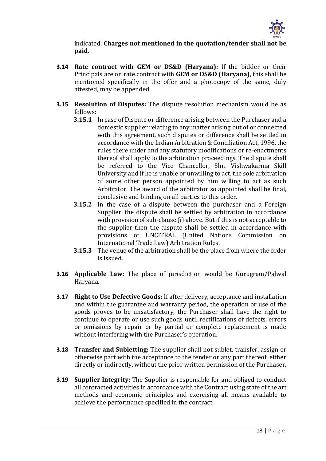

indicated. **Charges not mentioned in the quotation/tender shall not be paid.**

- **3.14 Rate contract with GEM or DS&D (Haryana):** If the bidder or their Principals are on rate contract with **GEM or DS&D (Haryana)**, this shall be mentioned specifically in the offer and a photocopy of the same, duly attested, may be appended.
- **3.15 Resolution of Disputes:** The dispute resolution mechanism would be as follows:
	- **3.15.1** In case of Dispute or difference arising between the Purchaser and a domestic supplier relating to any matter arising out of or connected with this agreement, such disputes or difference shall be settled in accordance with the Indian Arbitration & Conciliation Act, 1996, the rules there under and any statutory modifications or re-enactments thereof shall apply to the arbitration proceedings. The dispute shall be referred to the Vice Chancellor, Shri Vishwakarma Skill University and if he is unable or unwilling to act, the sole arbitration of some other person appointed by him willing to act as such Arbitrator. The award of the arbitrator so appointed shall be final, conclusive and binding on all parties to this order.
	- **3.15.2** In the case of a dispute between the purchaser and a Foreign Supplier, the dispute shall be settled by arbitration in accordance with provision of sub-clause (i) above. But if this is not acceptable to the supplier then the dispute shall be settled in accordance with provisions of UNCITRAL (United Nations Commission on International Trade Law) Arbitration Rules.
	- **3.15.3** The venue of the arbitration shall be the place from where the order is issued.
- **3.16 Applicable Law:** The place of jurisdiction would be Gurugram/Palwal Haryana.
- **3.17 Right to Use Defective Goods:** If after delivery, acceptance and installation and within the guarantee and warranty period, the operation or use of the goods proves to be unsatisfactory, the Purchaser shall have the right to continue to operate or use such goods until rectifications of defects, errors or omissions by repair or by partial or complete replacement is made without interfering with the Purchaser's operation.
- **3.18 Transfer and Subletting:** The supplier shall not sublet, transfer, assign or otherwise part with the acceptance to the tender or any part thereof, either directly or indirectly, without the prior written permission of the Purchaser.
- **3.19 Supplier Integrity:** The Supplier is responsible for and obliged to conduct all contracted activities in accordance with the Contract using state of the art methods and economic principles and exercising all means available to achieve the performance specified in the contract.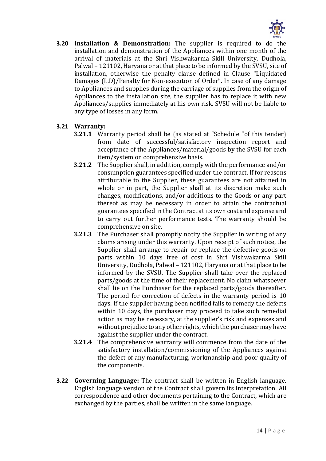

**3.20 Installation & Demonstration:** The supplier is required to do the installation and demonstration of the Appliances within one month of the arrival of materials at the Shri Vishwakarma Skill University, Dudhola, Palwal – 121102, Haryana or at that place to be informed by the SVSU, site of installation, otherwise the penalty clause defined in Clause "Liquidated Damages (L.D)/Penalty for Non-execution of Order". In case of any damage to Appliances and supplies during the carriage of supplies from the origin of Appliances to the installation site, the supplier has to replace it with new Appliances/supplies immediately at his own risk. SVSU will not be liable to any type of losses in any form.

#### **3.21 Warranty:**

- **3.21.1** Warranty period shall be (as stated at "Schedule "of this tender) from date of successful/satisfactory inspection report and acceptance of the Appliances/material/goods by the SVSU for each item/system on comprehensive basis.
- **3.21.2** The Supplier shall, in addition, comply with the performance and/or consumption guarantees specified under the contract. If for reasons attributable to the Supplier, these guarantees are not attained in whole or in part, the Supplier shall at its discretion make such changes, modifications, and/or additions to the Goods or any part thereof as may be necessary in order to attain the contractual guarantees specified in the Contract at its own cost and expense and to carry out further performance tests. The warranty should be comprehensive on site.
- **3.21.3** The Purchaser shall promptly notify the Supplier in writing of any claims arising under this warranty. Upon receipt of such notice, the Supplier shall arrange to repair or replace the defective goods or parts within 10 days free of cost in Shri Vishwakarma Skill University, Dudhola, Palwal – 121102, Haryana or at that place to be informed by the SVSU. The Supplier shall take over the replaced parts/goods at the time of their replacement. No claim whatsoever shall lie on the Purchaser for the replaced parts/goods thereafter. The period for correction of defects in the warranty period is 10 days. If the supplier having been notified fails to remedy the defects within 10 days, the purchaser may proceed to take such remedial action as may be necessary, at the supplier's risk and expenses and without prejudice to any other rights, which the purchaser may have against the supplier under the contract.
- **3.21.4** The comprehensive warranty will commence from the date of the satisfactory installation/commissioning of the Appliances against the defect of any manufacturing, workmanship and poor quality of the components.
- **3.22 Governing Language:** The contract shall be written in English language. English language version of the Contract shall govern its interpretation. All correspondence and other documents pertaining to the Contract, which are exchanged by the parties, shall be written in the same language.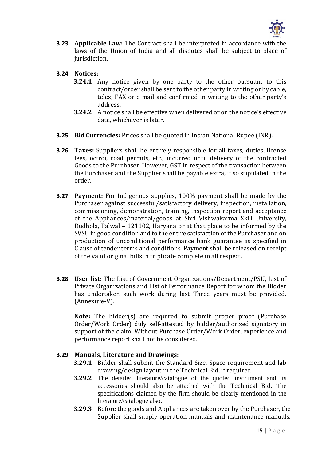

**3.23 Applicable Law:** The Contract shall be interpreted in accordance with the laws of the Union of India and all disputes shall be subject to place of jurisdiction.

#### **3.24 Notices:**

- **3.24.1** Any notice given by one party to the other pursuant to this contract/order shall be sent to the other party in writing or by cable, telex, FAX or e mail and confirmed in writing to the other party's address.
- **3.24.2** A notice shall be effective when delivered or on the notice's effective date, whichever is later.
- **3.25 Bid Currencies:** Prices shall be quoted in Indian National Rupee (INR).
- **3.26 Taxes:** Suppliers shall be entirely responsible for all taxes, duties, license fees, octroi, road permits, etc., incurred until delivery of the contracted Goods to the Purchaser. However, GST in respect of the transaction between the Purchaser and the Supplier shall be payable extra, if so stipulated in the order.
- **3.27 Payment:** For Indigenous supplies, 100% payment shall be made by the Purchaser against successful/satisfactory delivery, inspection, installation, commissioning, demonstration, training, inspection report and acceptance of the Appliances/material/goods at Shri Vishwakarma Skill University, Dudhola, Palwal – 121102, Haryana or at that place to be informed by the SVSU in good condition and to the entire satisfaction of the Purchaser and on production of unconditional performance bank guarantee as specified in Clause of tender terms and conditions. Payment shall be released on receipt of the valid original bills in triplicate complete in all respect.
- **3.28 User list:** The List of Government Organizations/Department/PSU, List of Private Organizations and List of Performance Report for whom the Bidder has undertaken such work during last Three years must be provided. (Annexure-V).

**Note:** The bidder(s) are required to submit proper proof (Purchase Order/Work Order) duly self-attested by bidder/authorized signatory in support of the claim. Without Purchase Order/Work Order, experience and performance report shall not be considered.

#### **3.29 Manuals, Literature and Drawings:**

- **3.29.1** Bidder shall submit the Standard Size, Space requirement and lab drawing/design layout in the Technical Bid, if required.
- **3.29.2** The detailed literature/catalogue of the quoted instrument and its accessories should also be attached with the Technical Bid. The specifications claimed by the firm should be clearly mentioned in the literature/catalogue also.
- **3.29.3** Before the goods and Appliances are taken over by the Purchaser, the Supplier shall supply operation manuals and maintenance manuals.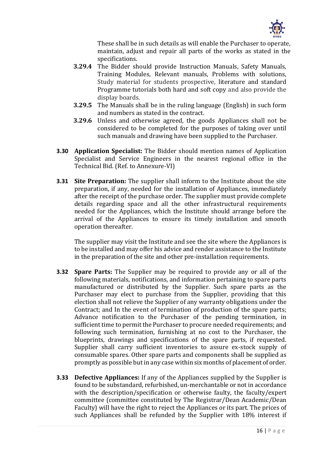

These shall be in such details as will enable the Purchaser to operate, maintain, adjust and repair all parts of the works as stated in the specifications.

- **3.29.4** The Bidder should provide Instruction Manuals, Safety Manuals, Training Modules, Relevant manuals, Problems with solutions, Study material for students prospective, literature and standard Programme tutorials both hard and soft copy and also provide the display boards.
- **3.29.5** The Manuals shall be in the ruling language (English) in such form and numbers as stated in the contract.
- **3.29.6** Unless and otherwise agreed, the goods Appliances shall not be considered to be completed for the purposes of taking over until such manuals and drawing have been supplied to the Purchaser.
- **3.30 Application Specialist:** The Bidder should mention names of Application Specialist and Service Engineers in the nearest regional office in the Technical Bid. (Ref. to Annexure-VI)
- **3.31 Site Preparation:** The supplier shall inform to the Institute about the site preparation, if any, needed for the installation of Appliances, immediately after the receipt of the purchase order. The supplier must provide complete details regarding space and all the other infrastructural requirements needed for the Appliances, which the Institute should arrange before the arrival of the Appliances to ensure its timely installation and smooth operation thereafter.

The supplier may visit the Institute and see the site where the Appliances is to be installed and may offer his advice and render assistance to the Institute in the preparation of the site and other pre-installation requirements.

- **3.32 Spare Parts:** The Supplier may be required to provide any or all of the following materials, notifications, and information pertaining to spare parts manufactured or distributed by the Supplier. Such spare parts as the Purchaser may elect to purchase from the Supplier, providing that this election shall not relieve the Supplier of any warranty obligations under the Contract; and In the event of termination of production of the spare parts; Advance notification to the Purchaser of the pending termination, in sufficient time to permit the Purchaser to procure needed requirements; and following such termination, furnishing at no cost to the Purchaser, the blueprints, drawings and specifications of the spare parts, if requested. Supplier shall carry sufficient inventories to assure ex-stock supply of consumable spares. Other spare parts and components shall be supplied as promptly as possible but in any case within six months of placement of order.
- **3.33 Defective Appliances:** If any of the Appliances supplied by the Supplier is found to be substandard, refurbished, un-merchantable or not in accordance with the description/specification or otherwise faulty, the faculty/expert committee (committee constituted by The Registrar/Dean Academic/Dean Faculty) will have the right to reject the Appliances or its part. The prices of such Appliances shall be refunded by the Supplier with 18% interest if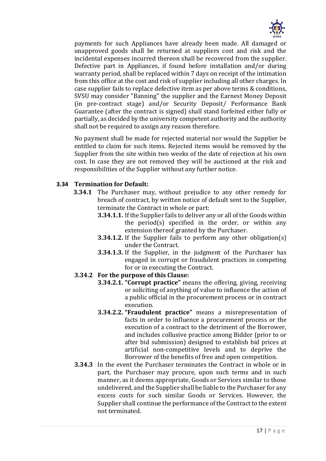

payments for such Appliances have already been made. All damaged or unapproved goods shall be returned at suppliers cost and risk and the incidental expenses incurred thereon shall be recovered from the supplier. Defective part in Appliances, if found before installation and/or during warranty period, shall be replaced within 7 days on receipt of the intimation from this office at the cost and risk of supplier including all other charges. In case supplier fails to replace defective item as per above terms & conditions, SVSU may consider "Banning" the supplier and the Earnest Money Deposit (in pre-contract stage) and/or Security Deposit/ Performance Bank Guarantee (after the contract is signed) shall stand forfeited either fully or partially, as decided by the university competent authority and the authority shall not be required to assign any reason therefore.

No payment shall be made for rejected material nor would the Supplier be entitled to claim for such items. Rejected items would be removed by the Supplier from the site within two weeks of the date of rejection at his own cost. In case they are not removed they will be auctioned at the risk and responsibilities of the Supplier without any further notice.

#### **3.34 Termination for Default:**

- **3.34.1** The Purchaser may, without prejudice to any other remedy for breach of contract, by written notice of default sent to the Supplier, terminate the Contract in whole or part:
	- **3.34.1.1.** If the Supplier fails to deliver any or all of the Goods within the period(s) specified in the order, or within any extension thereof granted by the Purchaser.
	- **3.34.1.2.** If the Supplier fails to perform any other obligation(s) under the Contract.
	- **3.34.1.3.** If the Supplier, in the judgment of the Purchaser has engaged in corrupt or fraudulent practices in competing for or in executing the Contract.
- **3.34.2 For the purpose of this Clause:**
	- **3.34.2.1. "Corrupt practice"** means the offering, giving, receiving or soliciting of anything of value to influence the action of a public official in the procurement process or in contract execution.
	- **3.34.2.2. "Fraudulent practice"** means a misrepresentation of facts in order to influence a procurement process or the execution of a contract to the detriment of the Borrower, and includes collusive practice among Bidder (prior to or after bid submission) designed to establish bid prices at artificial non-competitive levels and to deprive the Borrower of the benefits of free and open competition.
- **3.34.3** In the event the Purchaser terminates the Contract in whole or in part, the Purchaser may procure, upon such terms and in such manner, as it deems appropriate, Goods or Services similar to those undelivered, and the Supplier shall be liable to the Purchaser for any excess costs for such similar Goods or Services. However, the Supplier shall continue the performance of the Contract to the extent not terminated.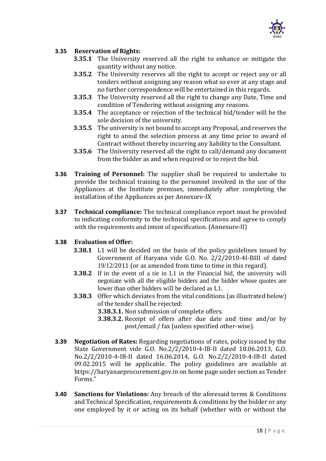

#### **3.35 Reservation of Rights:**

- **3.35.1** The University reserved all the right to enhance or mitigate the quantity without any notice.
- **3.35.2** The University reserves all the right to accept or reject any or all tenders without assigning any reason what so ever at any stage and no further correspondence will be entertained in this regards.
- **3.35.3** The University reserved all the right to change any Date, Time and condition of Tendering without assigning any reasons.
- **3.35.4** The acceptance or rejection of the technical bid/tender will be the sole decision of the university.
- **3.35.5** The university is not bound to accept any Proposal, and reserves the right to annul the selection process at any time prior to award of Contract without thereby incurring any liability to the Consultant.
- **3.35.6** The University reserved all the right to call/demand any document from the bidder as and when required or to reject the bid.
- **3.36 Training of Personnel:** The supplier shall be required to undertake to provide the technical training to the personnel involved in the use of the Appliances at the Institute premises, immediately after completing the installation of the Appliances as per Annexure-IX
- **3.37 Technical compliance:** The technical compliance report must be provided to indicating conformity to the technical specifications and agree to comply with the requirements and intent of specification. (Annexure-II)

#### **3.38 Evaluation of Offer:**

- **3.38.1** L1 will be decided on the basis of the policy guidelines issued by Government of Haryana vide G.O. No. 2/2/2010-4I-BIII of dated 19/12/2011 (or as amended from time to time in this regard).
- **3.38.2** If in the event of a tie in L1 in the Financial bid, the university will negotiate with all the eligible bidders and the bidder whose quotes are lower than other bidders will be declared as L1.
- **3.38.3** Offer which deviates from the vital conditions (as illustrated below) of the tender shall be rejected:
	- **3.38.3.1.** Non submission of complete offers.
	- **3.38.3.2.** Receipt of offers after due date and time and/or by post/email / fax (unless specified other-wise).
- **3.39 Negotiation of Rates:** Regarding negotiations of rates, policy issued by the State Government vide G.O. No.2/2/2010-4-IB-II dated 18.06.2013, G.O. No.2/2/2010-4-IB-II dated 16.06.2014, G.O. No.2/2/2010-4-IB-II dated 09.02.2015 will be applicable. The policy guidelines are available at [https://haryanaeprocurement.gov.in](https://haryanaeprocurement.gov.in/) on home page under section as Tender Forms."
- **3.40 Sanctions for Violations:** Any breach of the aforesaid terms & Conditions and Technical Specification, requirements & conditions by the bidder or any one employed by it or acting on its behalf (whether with or without the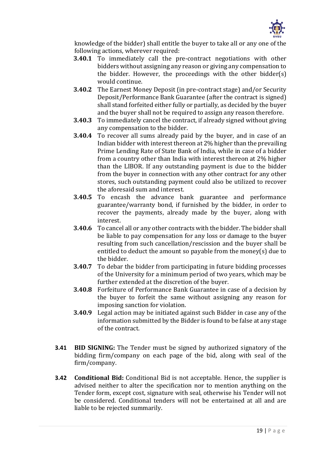

knowledge of the bidder) shall entitle the buyer to take all or any one of the following actions, wherever required:

- **3.40.1** To immediately call the pre-contract negotiations with other bidders without assigning any reason or giving any compensation to the bidder. However, the proceedings with the other bidder(s) would continue.
- **3.40.2** The Earnest Money Deposit (in pre-contract stage) and/or Security Deposit/Performance Bank Guarantee (after the contract is signed) shall stand forfeited either fully or partially, as decided by the buyer and the buyer shall not be required to assign any reason therefore.
- **3.40.3** To immediately cancel the contract, if already signed without giving any compensation to the bidder.
- **3.40.4** To recover all sums already paid by the buyer, and in case of an Indian bidder with interest thereon at 2% higher than the prevailing Prime Lending Rate of State Bank of India, while in case of a bidder from a country other than India with interest thereon at 2% higher than the LIBOR. If any outstanding payment is due to the bidder from the buyer in connection with any other contract for any other stores, such outstanding payment could also be utilized to recover the aforesaid sum and interest.
- **3.40.5** To encash the advance bank guarantee and performance guarantee/warranty bond, if furnished by the bidder, in order to recover the payments, already made by the buyer, along with interest.
- **3.40.6** To cancel all or any other contracts with the bidder. The bidder shall be liable to pay compensation for any loss or damage to the buyer resulting from such cancellation/rescission and the buyer shall be entitled to deduct the amount so payable from the money(s) due to the bidder.
- **3.40.7** To debar the bidder from participating in future bidding processes of the University for a minimum period of two years, which may be further extended at the discretion of the buyer.
- **3.40.8** Forfeiture of Performance Bank Guarantee in case of a decision by the buyer to forfeit the same without assigning any reason for imposing sanction for violation.
- **3.40.9** Legal action may be initiated against such Bidder in case any of the information submitted by the Bidder is found to be false at any stage of the contract.
- **3.41 BID SIGNING:** The Tender must be signed by authorized signatory of the bidding firm/company on each page of the bid, along with seal of the firm/company.
- **3.42 Conditional Bid:** Conditional Bid is not acceptable. Hence, the supplier is advised neither to alter the specification nor to mention anything on the Tender form, except cost, signature with seal, otherwise his Tender will not be considered. Conditional tenders will not be entertained at all and are liable to be rejected summarily.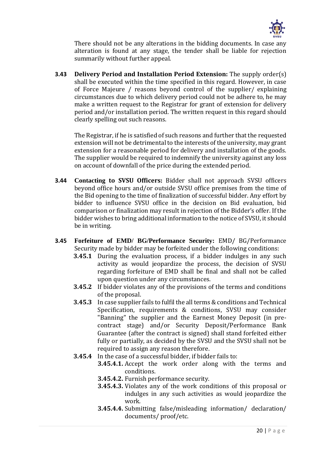

There should not be any alterations in the bidding documents. In case any alteration is found at any stage, the tender shall be liable for rejection summarily without further appeal.

**3.43 Delivery Period and Installation Period Extension:** The supply order(s) shall be executed within the time specified in this regard. However, in case of Force Majeure / reasons beyond control of the supplier/ explaining circumstances due to which delivery period could not be adhere to, he may make a written request to the Registrar for grant of extension for delivery period and/or installation period. The written request in this regard should clearly spelling out such reasons.

The Registrar, if he is satisfied of such reasons and further that the requested extension will not be detrimental to the interests of the university, may grant extension for a reasonable period for delivery and installation of the goods. The supplier would be required to indemnify the university against any loss on account of downfall of the price during the extended period.

- **3.44 Contacting to SVSU Officers:** Bidder shall not approach SVSU officers beyond office hours and/or outside SVSU office premises from the time of the Bid opening to the time of finalization of successful bidder. Any effort by bidder to influence SVSU office in the decision on Bid evaluation, bid comparison or finalization may result in rejection of the Bidder's offer. If the bidder wishes to bring additional information to the notice of SVSU, it should be in writing.
- **3.45 Forfeiture of EMD/ BG/Performance Security:** EMD/ BG/Performance Security made by bidder may be forfeited under the following conditions:
	- **3.45.1** During the evaluation process, if a bidder indulges in any such activity as would jeopardize the process, the decision of SVSU regarding forfeiture of EMD shall be final and shall not be called upon question under any circumstances.
	- **3.45.2** If bidder violates any of the provisions of the terms and conditions of the proposal.
	- **3.45.3** In case supplier fails to fulfil the all terms & conditions and Technical Specification, requirements & conditions, SVSU may consider "Banning" the supplier and the Earnest Money Deposit (in precontract stage) and/or Security Deposit/Performance Bank Guarantee (after the contract is signed) shall stand forfeited either fully or partially, as decided by the SVSU and the SVSU shall not be required to assign any reason therefore.
	- **3.45.4** In the case of a successful bidder, if bidder fails to:
		- **3.45.4.1.** Accept the work order along with the terms and conditions.
		- **3.45.4.2.** Furnish performance security.
		- **3.45.4.3.** Violates any of the work conditions of this proposal or indulges in any such activities as would jeopardize the work.
		- **3.45.4.4.** Submitting false/misleading information/ declaration/ documents/ proof/etc.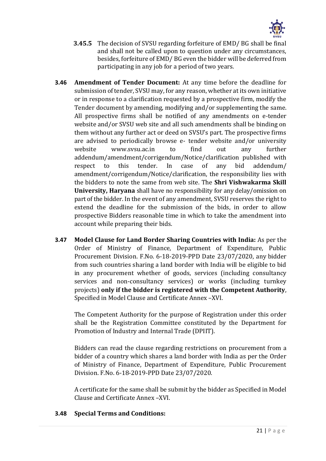

- **3.45.5** The decision of SVSU regarding forfeiture of EMD/ BG shall be final and shall not be called upon to question under any circumstances, besides, forfeiture of EMD/ BG even the bidder will be deferred from participating in any job for a period of two years.
- **3.46 Amendment of Tender Document:** At any time before the deadline for submission of tender, SVSU may, for any reason, whether at its own initiative or in response to a clarification requested by a prospective firm, modify the Tender document by amending, modifying and/or supplementing the same. All prospective firms shall be notified of any amendments on e-tender website and/or SVSU web site and all such amendments shall be binding on them without any further act or deed on SVSU's part. The prospective firms are advised to periodically browse e- tender website and/or university website [www.svsu.ac.in t](http://www.svsu.ac.in/)o find out any further addendum/amendment/corrigendum/Notice/clarification published with respect to this tender. In case of any bid addendum/ amendment/corrigendum/Notice/clarification, the responsibility lies with the bidders to note the same from web site. The **Shri Vishwakarma Skill University, Haryana** shall have no responsibility for any delay/omission on part of the bidder. In the event of any amendment, SVSU reserves the right to extend the deadline for the submission of the bids, in order to allow prospective Bidders reasonable time in which to take the amendment into account while preparing their bids.
- **3.47 Model Clause for Land Border Sharing Countries with India:** As per the Order of Ministry of Finance, Department of Expenditure, Public Procurement Division. F.No. 6-18-2019-PPD Date 23/07/2020, any bidder from such countries sharing a land border with India will be eligible to bid in any procurement whether of goods, services (including consultancy services and non-consultancy services) or works (including turnkey projects) **only if the bidder is registered with the Competent Authority**, Specified in Model Clause and Certificate Annex –XVI.

The Competent Authority for the purpose of Registration under this order shall be the Registration Committee constituted by the Department for Promotion of Industry and Internal Trade (DPIIT).

Bidders can read the clause regarding restrictions on procurement from a bidder of a country which shares a land border with India as per the Order of Ministry of Finance, Department of Expenditure, Public Procurement Division. F.No. 6-18-2019-PPD Date 23/07/2020.

A certificate for the same shall be submit by the bidder as Specified in Model Clause and Certificate Annex –XVI.

#### **3.48 Special Terms and Conditions:**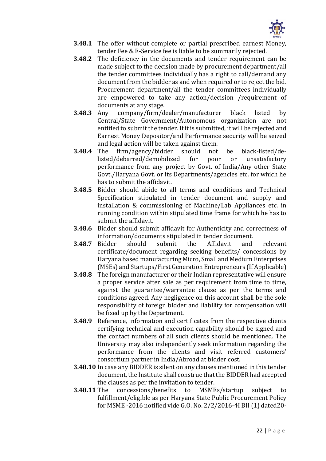

- **3.48.1** The offer without complete or partial prescribed earnest Money, tender Fee & E-Service fee is liable to be summarily rejected.
- **3.48.2** The deficiency in the documents and tender requirement can be made subject to the decision made by procurement department/all the tender committees individually has a right to call/demand any document from the bidder as and when required or to reject the bid. Procurement department/all the tender committees individually are empowered to take any action/decision /requirement of documents at any stage.
- **3.48.3** Any company/firm/dealer/manufacturer black listed by Central/State Government/Autonomous organization are not entitled to submit the tender. If it is submitted, it will be rejected and Earnest Money Depositor/and Performance security will be seized and legal action will be taken against them.
- **3.48.4** The firm/agency/bidder should not be black-listed/delisted/debarred/demobilized for poor or unsatisfactory performance from any project by Govt. of India/Any other State Govt./Haryana Govt. or its Departments/agencies etc. for which he has to submit the affidavit.
- **3.48.5** Bidder should abide to all terms and conditions and Technical Specification stipulated in tender document and supply and installation & commissioning of Machine/Lab Appliances etc. in running condition within stipulated time frame for which he has to submit the affidavit.
- **3.48.6** Bidder should submit affidavit for Authenticity and correctness of information/documents stipulated in tender document.
- **3.48.7** Bidder should submit the Affidavit and relevant certificate/document regarding seeking benefits/ concessions by Haryana based manufacturing Micro, Small and Medium Enterprises (MSEs) and Startups/First Generation Entrepreneurs (If Applicable)
- **3.48.8** The foreign manufacturer or their Indian representative will ensure a proper service after sale as per requirement from time to time, against the guarantee/warrantee clause as per the terms and conditions agreed. Any negligence on this account shall be the sole responsibility of foreign bidder and liability for compensation will be fixed up by the Department.
- **3.48.9** Reference, information and certificates from the respective clients certifying technical and execution capability should be signed and the contact numbers of all such clients should be mentioned. The University may also independently seek information regarding the performance from the clients and visit referred customers' consortium partner in India/Abroad at bidder cost.
- **3.48.10** In case any BIDDER is silent on any clauses mentioned in this tender document, the Institute shall construe that the BIDDER had accepted the clauses as per the invitation to tender.
- **3.48.11** The concessions/benefits to MSMEs/startup subject to fulfillment/eligible as per Haryana State Public Procurement Policy for MSME -2016 notified vide G.O. No. 2/2/2016-4I BII (1) dated20-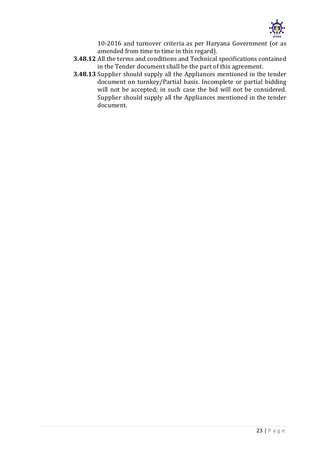

10-2016 and turnover criteria as per Haryana Government (or as amended from time to time in this regard).

- **3.48.12** All the terms and conditions and Technical specifications contained in the Tender document shall be the part of this agreement.
- **3.48.13** Supplier should supply all the Appliances mentioned in the tender document on turnkey/Partial basis. Incomplete or partial bidding will not be accepted; in such case the bid will not be considered. Supplier should supply all the Appliances mentioned in the tender document.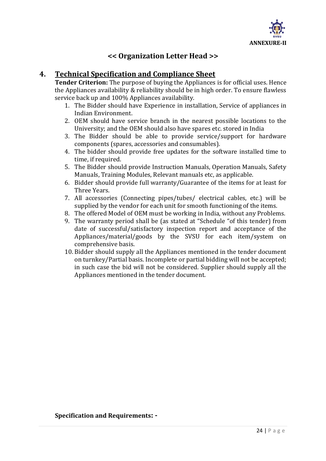

# **<< Organization Letter Head >>**

# **4. Technical Specification and Compliance Sheet**

**Tender Criterion:** The purpose of buying the Appliances is for official uses. Hence the Appliances availability & reliability should be in high order. To ensure flawless service back up and 100% Appliances availability.

- 1. The Bidder should have Experience in installation, Service of appliances in Indian Environment.
- 2. OEM should have service branch in the nearest possible locations to the University; and the OEM should also have spares etc. stored in India
- 3. The Bidder should be able to provide service/support for hardware components (spares, accessories and consumables).
- 4. The bidder should provide free updates for the software installed time to time, if required.
- 5. The Bidder should provide Instruction Manuals, Operation Manuals, Safety Manuals, Training Modules, Relevant manuals etc, as applicable.
- 6. Bidder should provide full warranty/Guarantee of the items for at least for Three Years.
- 7. All accessories (Connecting pipes/tubes/ electrical cables, etc.) will be supplied by the vendor for each unit for smooth functioning of the items.
- 8. The offered Model of OEM must be working in India, without any Problems.
- 9. The warranty period shall be (as stated at "Schedule "of this tender) from date of successful/satisfactory inspection report and acceptance of the Appliances/material/goods by the SVSU for each item/system on comprehensive basis.
- 10. Bidder should supply all the Appliances mentioned in the tender document on turnkey/Partial basis. Incomplete or partial bidding will not be accepted; in such case the bid will not be considered. Supplier should supply all the Appliances mentioned in the tender document.

**Specification and Requirements: -**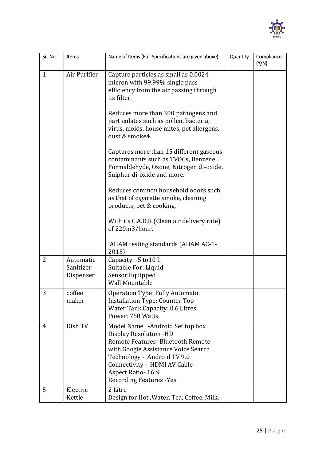

| Sr. No.      | Items                               | Name of Items (Full Specifications are given above)                                                                                                                                                                                                                         | Quantity | Compliance<br>(Y/N) |
|--------------|-------------------------------------|-----------------------------------------------------------------------------------------------------------------------------------------------------------------------------------------------------------------------------------------------------------------------------|----------|---------------------|
| $\mathbf{1}$ | Air Purifier                        | Capture particles as small as 0.0024<br>micron with 99.99% single pass<br>efficiency from the air passing through<br>its filter.                                                                                                                                            |          |                     |
|              |                                     | Reduces more than 300 pathogens and<br>particulates such as pollen, bacteria,<br>virus, molds, house mites, pet allergens,<br>dust & smoke4.                                                                                                                                |          |                     |
|              |                                     | Captures more than 15 different gaseous<br>contaminants such as TVOCs, Benzene,<br>Formaldehyde, Ozone, Nitrogen di-oxide,<br>Sulphur di-oxide and more.                                                                                                                    |          |                     |
|              |                                     | Reduces common household odors such<br>as that of cigarette smoke, cleaning<br>products, pet & cooking.                                                                                                                                                                     |          |                     |
|              |                                     | With its C.A.D.R (Clean air delivery rate)<br>of 220m3/hour.                                                                                                                                                                                                                |          |                     |
|              |                                     | AHAM testing standards (AHAM AC-1-<br>2015)                                                                                                                                                                                                                                 |          |                     |
| 2            | Automatic<br>Sanitizer<br>Dispenser | Capacity: -5 to 10 L<br>Suitable For: Liquid<br>Sensor Equipped<br><b>Wall Mountable</b>                                                                                                                                                                                    |          |                     |
| 3            | coffee<br>maker                     | <b>Operation Type: Fully Automatic</b><br><b>Installation Type: Counter Top</b><br>Water Tank Capacity: 0.6 Litres<br>Power: 750 Watts                                                                                                                                      |          |                     |
| 4            | Dish TV                             | Model Name -Android Set top box<br>Display Resolution -HD<br><b>Remote Features - Bluetooth Remote</b><br>with Google Assistance Voice Search<br>Technology - Android TV 9.0<br>Connectivity - HDMI AV Cable<br><b>Aspect Ratio-16:9</b><br><b>Recording Features - Yes</b> |          |                     |
| 5            | Electric<br>Kettle                  | 2 Litre<br>Design for Hot, Water, Tea, Coffee, Milk,                                                                                                                                                                                                                        |          |                     |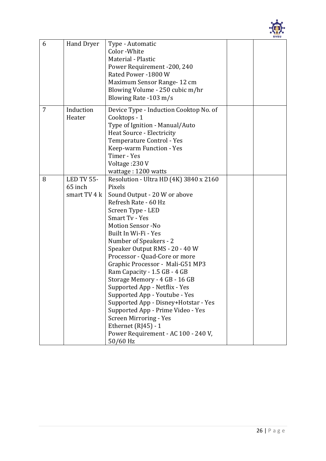

| 6 | Hand Dryer                            | Type - Automatic<br>Color - White<br>Material - Plastic<br>Power Requirement -200, 240<br>Rated Power -1800 W<br>Maximum Sensor Range-12 cm<br>Blowing Volume - 250 cubic m/hr<br>Blowing Rate -103 m/s                                                                                                                                                                                                                                                                                                                                                     |  |
|---|---------------------------------------|-------------------------------------------------------------------------------------------------------------------------------------------------------------------------------------------------------------------------------------------------------------------------------------------------------------------------------------------------------------------------------------------------------------------------------------------------------------------------------------------------------------------------------------------------------------|--|
| 7 | Induction<br>Heater                   | Device Type - Induction Cooktop No. of<br>Cooktops - 1<br>Type of Ignition - Manual/Auto<br><b>Heat Source - Electricity</b><br>Temperature Control - Yes<br>Keep-warm Function - Yes<br>Timer - Yes<br>Voltage: 230 V<br>wattage: 1200 watts                                                                                                                                                                                                                                                                                                               |  |
| 8 | LED TV 55-<br>65 inch<br>smart TV 4 k | Resolution - Ultra HD (4K) 3840 x 2160<br>Pixels<br>Sound Output - 20 W or above<br>Refresh Rate - 60 Hz<br>Screen Type - LED<br><b>Smart Tv - Yes</b><br><b>Motion Sensor -No</b><br>Built In Wi-Fi - Yes<br>Number of Speakers - 2<br>Speaker Output RMS - 20 - 40 W<br>Processor - Quad-Core or more<br>Graphic Processor - Mali-G51 MP3<br>Ram Capacity - 1.5 GB - 4 GB<br>Storage Memory - 4 GB - 16 GB<br>Supported App - Netflix - Yes<br>Supported App - Youtube - Yes<br>Supported App - Disney+Hotstar - Yes<br>Supported App - Prime Video - Yes |  |
|   |                                       | <b>Screen Mirroring - Yes</b><br>Ethernet $(RI45) - 1$<br>Power Requirement - AC 100 - 240 V,<br>50/60 Hz                                                                                                                                                                                                                                                                                                                                                                                                                                                   |  |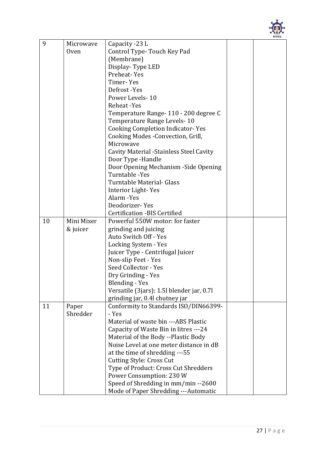

| 9  | Microwave         | Capacity -23 L                                 |  |  |
|----|-------------------|------------------------------------------------|--|--|
|    | 0ven              | Control Type-Touch Key Pad                     |  |  |
|    |                   | (Membrane)                                     |  |  |
|    |                   | Display-Type LED                               |  |  |
|    |                   | Preheat-Yes                                    |  |  |
|    |                   | Timer-Yes                                      |  |  |
|    |                   | Defrost-Yes                                    |  |  |
|    |                   | Power Levels-10                                |  |  |
|    |                   | Reheat -Yes                                    |  |  |
|    |                   | Temperature Range- 110 - 200 degree C          |  |  |
|    |                   | Temperature Range Levels-10                    |  |  |
|    |                   | <b>Cooking Completion Indicator- Yes</b>       |  |  |
|    |                   | Cooking Modes - Convection, Grill,             |  |  |
|    |                   | Microwave                                      |  |  |
|    |                   | <b>Cavity Material -Stainless Steel Cavity</b> |  |  |
|    |                   | Door Type -Handle                              |  |  |
|    |                   | Door Opening Mechanism - Side Opening          |  |  |
|    |                   | Turntable -Yes                                 |  |  |
|    |                   | Turntable Material- Glass                      |  |  |
|    |                   | Interior Light-Yes                             |  |  |
|    |                   | Alarm -Yes                                     |  |  |
|    |                   | Deodorizer-Yes                                 |  |  |
|    |                   | <b>Certification -BIS Certified</b>            |  |  |
| 10 | Mini Mixer        | Powerful 550W motor: for faster                |  |  |
|    | & juicer          | grinding and juicing                           |  |  |
|    |                   | Auto Switch Off - Yes                          |  |  |
|    |                   | Locking System - Yes                           |  |  |
|    |                   | Juicer Type - Centrifugal Juicer               |  |  |
|    |                   | Non-slip Feet - Yes                            |  |  |
|    |                   | Seed Collector - Yes                           |  |  |
|    |                   | Dry Grinding - Yes                             |  |  |
|    |                   | <b>Blending - Yes</b>                          |  |  |
|    |                   | Versatile (3jars): 1.5l blender jar, 0.7l      |  |  |
| 11 |                   | grinding jar, 0.4l chutney jar                 |  |  |
|    | Paper<br>Shredder | Conformity to Standards ISO/DIN66399-<br>- Yes |  |  |
|    |                   | Material of waste bin ---ABS Plastic           |  |  |
|    |                   | Capacity of Waste Bin in litres ---24          |  |  |
|    |                   | Material of the Body --Plastic Body            |  |  |
|    |                   | Noise Level at one meter distance in dB        |  |  |
|    |                   | at the time of shredding ---55                 |  |  |
|    |                   | <b>Cutting Style: Cross Cut</b>                |  |  |
|    |                   | Type of Product: Cross Cut Shredders           |  |  |
|    |                   | Power Consumption: 230 W                       |  |  |
|    |                   | Speed of Shredding in mm/min -- 2600           |  |  |
|    |                   | Mode of Paper Shredding --- Automatic          |  |  |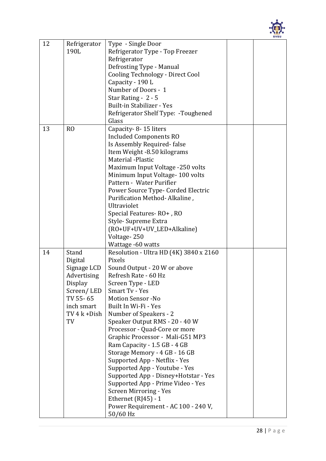

| 12 | Refrigerator<br>190L                                                                                                     | Type - Single Door<br>Refrigerator Type - Top Freezer<br>Refrigerator<br>Defrosting Type - Manual<br>Cooling Technology - Direct Cool<br>Capacity - 190 L<br>Number of Doors - 1<br>Star Rating - 2 - 5<br>Built-in Stabilizer - Yes<br>Refrigerator Shelf Type: - Toughened<br>Glass                                                                                                                                                                                                                                                                                                                                                                      |  |
|----|--------------------------------------------------------------------------------------------------------------------------|------------------------------------------------------------------------------------------------------------------------------------------------------------------------------------------------------------------------------------------------------------------------------------------------------------------------------------------------------------------------------------------------------------------------------------------------------------------------------------------------------------------------------------------------------------------------------------------------------------------------------------------------------------|--|
| 13 | R <sub>O</sub>                                                                                                           | Capacity - 8 - 15 liters<br><b>Included Components RO</b><br>Is Assembly Required-false<br>Item Weight -8.50 kilograms<br>Material -Plastic<br>Maximum Input Voltage -250 volts<br>Minimum Input Voltage-100 volts<br>Pattern - Water Purifier<br>Power Source Type- Corded Electric<br>Purification Method-Alkaline,<br>Ultraviolet<br>Special Features-RO+, RO<br>Style-Supreme Extra<br>(RO+UF+UV+UV_LED+Alkaline)<br>Voltage-250<br>Wattage -60 watts                                                                                                                                                                                                  |  |
| 14 | Stand<br>Digital<br>Signage LCD<br>Advertising<br>Display<br>Screen/LED<br>TV 55-65<br>inch smart<br>TV 4 k + Dish<br>TV | Resolution - Ultra HD (4K) 3840 x 2160<br>Pixels<br>Sound Output - 20 W or above<br>Refresh Rate - 60 Hz<br>Screen Type - LED<br>Smart Tv - Yes<br><b>Motion Sensor -No</b><br>Built In Wi-Fi - Yes<br>Number of Speakers - 2<br>Speaker Output RMS - 20 - 40 W<br>Processor - Quad-Core or more<br>Graphic Processor - Mali-G51 MP3<br>Ram Capacity - 1.5 GB - 4 GB<br>Storage Memory - 4 GB - 16 GB<br>Supported App - Netflix - Yes<br>Supported App - Youtube - Yes<br>Supported App - Disney+Hotstar - Yes<br>Supported App - Prime Video - Yes<br>Screen Mirroring - Yes<br>Ethernet $(RJ45) - 1$<br>Power Requirement - AC 100 - 240 V,<br>50/60 Hz |  |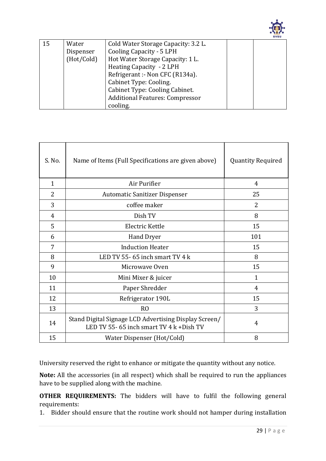

| 15 | Water      | Cold Water Storage Capacity: 3.2 L.    |  |
|----|------------|----------------------------------------|--|
|    | Dispenser  | <b>Cooling Capacity - 5 LPH</b>        |  |
|    | (Hot/Cold) | Hot Water Storage Capacity: 1 L.       |  |
|    |            | Heating Capacity - 2 LPH               |  |
|    |            | Refrigerant :- Non CFC (R134a).        |  |
|    |            | Cabinet Type: Cooling.                 |  |
|    |            | Cabinet Type: Cooling Cabinet.         |  |
|    |            | <b>Additional Features: Compressor</b> |  |
|    |            | cooling.                               |  |

| S. No.       | Name of Items (Full Specifications are given above)                                               | <b>Quantity Required</b> |
|--------------|---------------------------------------------------------------------------------------------------|--------------------------|
| $\mathbf{1}$ | Air Purifier                                                                                      | 4                        |
| 2            | <b>Automatic Sanitizer Dispenser</b>                                                              | 25                       |
| 3            | coffee maker                                                                                      | $\overline{2}$           |
| 4            | Dish TV                                                                                           | 8                        |
| 5            | Electric Kettle                                                                                   | 15                       |
| 6            | <b>Hand Dryer</b>                                                                                 | 101                      |
| 7            | <b>Induction Heater</b>                                                                           | 15                       |
| 8            | LED TV 55-65 inch smart TV $4k$                                                                   | 8                        |
| 9            | Microwaye Oven                                                                                    | 15                       |
| 10           | Mini Mixer & juicer                                                                               | $\mathbf{1}$             |
| 11           | Paper Shredder                                                                                    | 4                        |
| 12           | Refrigerator 190L                                                                                 | 15                       |
| 13           | R <sub>O</sub>                                                                                    | 3                        |
| 14           | Stand Digital Signage LCD Advertising Display Screen/<br>LED TV 55-65 inch smart TV 4 k + Dish TV | 4                        |
| 15           | Water Dispenser (Hot/Cold)                                                                        | 8                        |

University reserved the right to enhance or mitigate the quantity without any notice.

**Note:** All the accessories (in all respect) which shall be required to run the appliances have to be supplied along with the machine.

**OTHER REQUIREMENTS:** The bidders will have to fulfil the following general requirements:

1. Bidder should ensure that the routine work should not hamper during installation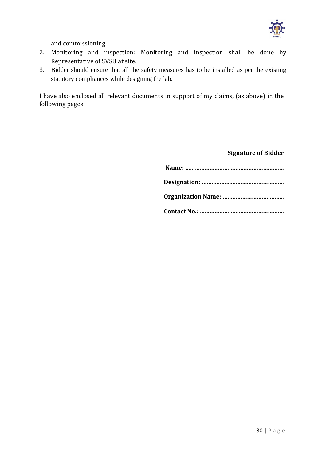

and commissioning.

- 2. Monitoring and inspection: Monitoring and inspection shall be done by Representative of SVSU at site.
- 3. Bidder should ensure that all the safety measures has to be installed as per the existing statutory compliances while designing the lab.

I have also enclosed all relevant documents in support of my claims, (as above) in the following pages.

#### **Signature of Bidder**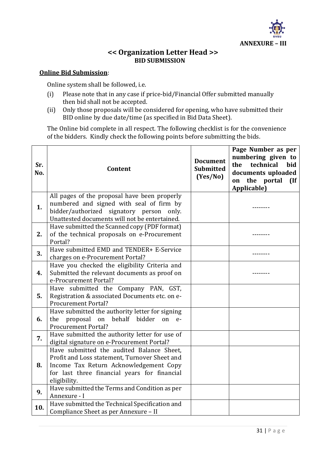

### **<< Organization Letter Head >> BID SUBMISSION**

#### **Online Bid Submission**:

Online system shall be followed, i.e.

- (i) Please note that in any case if price-bid/Financial Offer submitted manually then bid shall not be accepted.
- (ii) Only those proposals will be considered for opening, who have submitted their BID online by due date/time (as specified in Bid Data Sheet).

The Online bid complete in all respect. The following checklist is for the convenience of the bidders. Kindly check the following points before submitting the bids.

| Sr.<br>No. | <b>Content</b>                                                                                                                                                                                       | <b>Document</b><br><b>Submitted</b><br>(Yes/No) | Page Number as per<br>numbering given to<br>the<br>technical<br><b>bid</b><br>documents uploaded<br>the portal<br>on<br>(If<br>Applicable) |
|------------|------------------------------------------------------------------------------------------------------------------------------------------------------------------------------------------------------|-------------------------------------------------|--------------------------------------------------------------------------------------------------------------------------------------------|
| 1.         | All pages of the proposal have been properly<br>numbered and signed with seal of firm by<br>bidder/authorized signatory person only.<br>Unattested documents will not be entertained.                |                                                 |                                                                                                                                            |
| 2.         | Have submitted the Scanned copy (PDF format)<br>of the technical proposals on e-Procurement<br>Portal?                                                                                               |                                                 |                                                                                                                                            |
| 3.         | Have submitted EMD and TENDER+ E-Service<br>charges on e-Procurement Portal?                                                                                                                         |                                                 |                                                                                                                                            |
| 4.         | Have you checked the eligibility Criteria and<br>Submitted the relevant documents as proof on<br>e-Procurement Portal?                                                                               |                                                 |                                                                                                                                            |
| 5.         | Have submitted the Company PAN, GST,<br>Registration & associated Documents etc. on e-<br><b>Procurement Portal?</b>                                                                                 |                                                 |                                                                                                                                            |
| 6.         | Have submitted the authority letter for signing<br>the proposal on<br>behalf bidder<br>on<br>$e-$<br><b>Procurement Portal?</b>                                                                      |                                                 |                                                                                                                                            |
| 7.         | Have submitted the authority letter for use of<br>digital signature on e-Procurement Portal?                                                                                                         |                                                 |                                                                                                                                            |
| 8.         | Have submitted the audited Balance Sheet,<br>Profit and Loss statement, Turnover Sheet and<br>Income Tax Return Acknowledgement Copy<br>for last three financial years for financial<br>eligibility. |                                                 |                                                                                                                                            |
| 9.         | Have submitted the Terms and Condition as per<br>Annexure - I                                                                                                                                        |                                                 |                                                                                                                                            |
| 10.        | Have submitted the Technical Specification and<br>Compliance Sheet as per Annexure - II                                                                                                              |                                                 |                                                                                                                                            |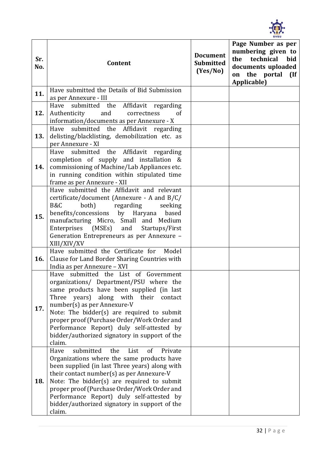

| Sr.<br>No. | Content                                                                                                                                                                                                                                                                                                                                                                                                          | <b>Document</b><br><b>Submitted</b><br>(Yes/No) | Page Number as per<br>numbering given to<br>the technical<br>bid<br>documents uploaded<br>on the portal<br>$\overline{\mathbf{H}}$<br>Applicable) |
|------------|------------------------------------------------------------------------------------------------------------------------------------------------------------------------------------------------------------------------------------------------------------------------------------------------------------------------------------------------------------------------------------------------------------------|-------------------------------------------------|---------------------------------------------------------------------------------------------------------------------------------------------------|
| 11.        | Have submitted the Details of Bid Submission<br>as per Annexure - III                                                                                                                                                                                                                                                                                                                                            |                                                 |                                                                                                                                                   |
| 12.        | Have submitted the Affidavit regarding<br>Authenticity<br>and<br><sub>of</sub><br>correctness<br>information/documents as per Annexure - X                                                                                                                                                                                                                                                                       |                                                 |                                                                                                                                                   |
| 13.        | Have submitted the Affidavit regarding<br>delisting/blacklisting, demobilization etc. as<br>per Annexure - XI                                                                                                                                                                                                                                                                                                    |                                                 |                                                                                                                                                   |
| 14.        | Have submitted the Affidavit regarding<br>completion of supply and installation &<br>commissioning of Machine/Lab Appliances etc.<br>in running condition within stipulated time<br>frame as per Annexure - XII                                                                                                                                                                                                  |                                                 |                                                                                                                                                   |
| 15.        | Have submitted the Affidavit and relevant<br>certificate/document (Annexure - A and B/C/<br>B&C<br>regarding<br>both)<br>seeking<br>benefits/concessions by Haryana based<br>manufacturing Micro, Small and Medium<br>Enterprises (MSEs) and<br>Startups/First<br>Generation Entrepreneurs as per Annexure -<br>XIII/XIV/XV                                                                                      |                                                 |                                                                                                                                                   |
| 16.        | Have submitted the Certificate for<br>Model<br>Clause for Land Border Sharing Countries with<br>India as per Annexure - XVI                                                                                                                                                                                                                                                                                      |                                                 |                                                                                                                                                   |
| 17.        | Have submitted the List of Government<br>organizations/ Department/PSU where the<br>same products have been supplied (in last<br>Three years)<br>along with their<br>contact<br>number(s) as per Annexure-V<br>Note: The bidder(s) are required to submit<br>proper proof (Purchase Order/Work Order and<br>Performance Report) duly self-attested by<br>bidder/authorized signatory in support of the<br>claim. |                                                 |                                                                                                                                                   |
| 18.        | Have<br>submitted<br>the<br>List<br><sub>of</sub><br>Private<br>Organizations where the same products have<br>been supplied (in last Three years) along with<br>their contact number(s) as per Annexure-V<br>Note: The bidder(s) are required to submit<br>proper proof (Purchase Order/Work Order and<br>Performance Report) duly self-attested by<br>bidder/authorized signatory in support of the<br>claim.   |                                                 |                                                                                                                                                   |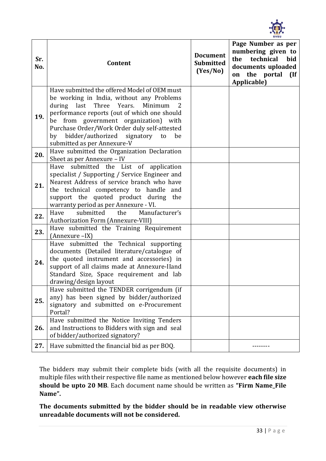

| Sr.<br>No. | Content                                                                                                                                                                                                                                                                                                                                                                    | <b>Document</b><br><b>Submitted</b><br>(Yes/No) | Page Number as per<br>numbering given to<br>the technical<br>bid<br>documents uploaded<br>on the portal<br>$($ If<br>Applicable) |
|------------|----------------------------------------------------------------------------------------------------------------------------------------------------------------------------------------------------------------------------------------------------------------------------------------------------------------------------------------------------------------------------|-------------------------------------------------|----------------------------------------------------------------------------------------------------------------------------------|
| 19.        | Have submitted the offered Model of OEM must<br>be working in India, without any Problems<br>during<br>last<br>Three<br>Years.<br>Minimum<br>2<br>performance reports (out of which one should<br>be from government organization) with<br>Purchase Order/Work Order duly self-attested<br>bidder/authorized<br>signatory<br>by<br>to<br>be<br>submitted as per Annexure-V |                                                 |                                                                                                                                  |
| 20.        | Have submitted the Organization Declaration<br>Sheet as per Annexure - IV                                                                                                                                                                                                                                                                                                  |                                                 |                                                                                                                                  |
| 21.        | Have submitted the List of application<br>specialist / Supporting / Service Engineer and<br>Nearest Address of service branch who have<br>the technical competency to handle and<br>support the quoted product during the<br>warranty period as per Annexure - VI.<br>Manufacturer's<br>submitted the<br>Have                                                              |                                                 |                                                                                                                                  |
| 22.        | <b>Authorization Form (Annexure-VIII)</b>                                                                                                                                                                                                                                                                                                                                  |                                                 |                                                                                                                                  |
| 23.        | Have submitted the Training Requirement<br>(Annexure -IX)                                                                                                                                                                                                                                                                                                                  |                                                 |                                                                                                                                  |
| 24.        | Have submitted the Technical supporting<br>documents (Detailed literature/catalogue of<br>the quoted instrument and accessories) in<br>support of all claims made at Annexure-IIand<br>Standard Size, Space requirement and lab<br>drawing/design layout                                                                                                                   |                                                 |                                                                                                                                  |
| 25.        | Have submitted the TENDER corrigendum (if<br>any) has been signed by bidder/authorized<br>signatory and submitted on e-Procurement<br>Portal?                                                                                                                                                                                                                              |                                                 |                                                                                                                                  |
| 26.        | Have submitted the Notice Inviting Tenders<br>and Instructions to Bidders with sign and seal<br>of bidder/authorized signatory?                                                                                                                                                                                                                                            |                                                 |                                                                                                                                  |
| 27.        | Have submitted the financial bid as per BOQ.                                                                                                                                                                                                                                                                                                                               |                                                 |                                                                                                                                  |

The bidders may submit their complete bids (with all the requisite documents) in multiple files with their respective file name as mentioned below however **each file size should be upto 20 MB**. Each document name should be written as **"Firm Name\_File Name".** 

**The documents submitted by the bidder should be in readable view otherwise unreadable documents will not be considered.**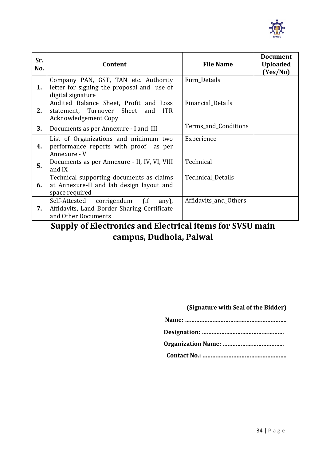

| Sr.<br>No. | Content                                                                                                              | <b>File Name</b>      | <b>Document</b><br><b>Uploaded</b><br>(Yes/No) |
|------------|----------------------------------------------------------------------------------------------------------------------|-----------------------|------------------------------------------------|
| 1.         | Company PAN, GST, TAN etc. Authority<br>letter for signing the proposal and use of<br>digital signature              | Firm Details          |                                                |
| 2.         | Audited Balance Sheet, Profit and Loss<br>statement, Turnover Sheet and<br><b>ITR</b><br><b>Acknowledgement Copy</b> | Financial Details     |                                                |
| 3.         | Documents as per Annexure - I and III                                                                                | Terms_and_Conditions  |                                                |
| 4.         | List of Organizations and minimum two<br>performance reports with proof as per<br>Annexure - V                       | Experience            |                                                |
| 5.         | Documents as per Annexure - II, IV, VI, VIII<br>and IX                                                               | Technical             |                                                |
| 6.         | Technical supporting documents as claims<br>at Annexure-II and lab design layout and<br>space required               | Technical_Details     |                                                |
| 7.         | Self-Attested corrigendum (if<br>any),<br>Affidavits, Land Border Sharing Certificate<br>and Other Documents         | Affidavits_and_Others |                                                |

# **Supply of Electronics and Electrical items for SVSU main campus, Dudhola, Palwal**

#### **(Signature with Seal of the Bidder)**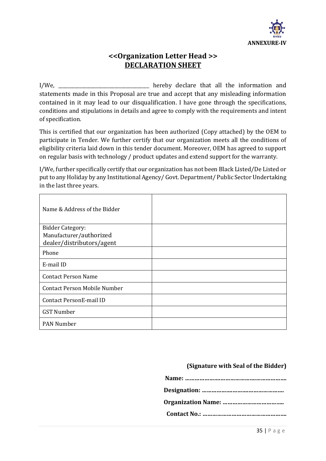

# **<<Organization Letter Head >> DECLARATION SHEET**

I/We, \_\_\_\_\_\_\_\_\_\_\_\_\_\_\_\_\_\_\_\_\_\_\_\_\_\_\_\_\_\_\_\_\_\_\_\_\_\_\_ hereby declare that all the information and statements made in this Proposal are true and accept that any misleading information contained in it may lead to our disqualification. I have gone through the specifications, conditions and stipulations in details and agree to comply with the requirements and intent of specification.

This is certified that our organization has been authorized (Copy attached) by the OEM to participate in Tender. We further certify that our organization meets all the conditions of eligibility criteria laid down in this tender document. Moreover, OEM has agreed to support on regular basis with technology / product updates and extend support for the warranty.

I/We, further specifically certify that our organization has not been Black Listed/De Listed or put to any Holiday by any Institutional Agency/ Govt. Department/ Public Sector Undertaking in the last three years.

| Name & Address of the Bidder        |  |
|-------------------------------------|--|
| <b>Bidder Category:</b>             |  |
| Manufacturer/authorized             |  |
| dealer/distributors/agent           |  |
| Phone                               |  |
| E-mail ID                           |  |
| <b>Contact Person Name</b>          |  |
| <b>Contact Person Mobile Number</b> |  |
| Contact PersonE-mail ID             |  |
| <b>GST Number</b>                   |  |
| <b>PAN Number</b>                   |  |

#### **(Signature with Seal of the Bidder)**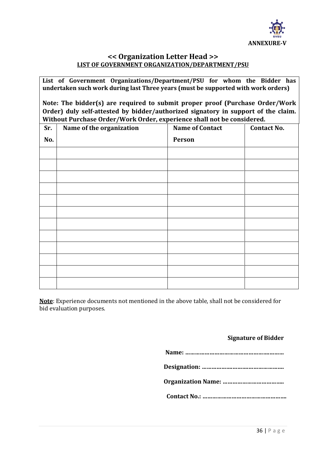

### **<< Organization Letter Head >> LIST OF GOVERNMENT ORGANIZATION/DEPARTMENT/PSU**

**List of Government Organizations/Department/PSU for whom the Bidder has undertaken such work during last Three years (must be supported with work orders)**

**Note: The bidder(s) are required to submit proper proof (Purchase Order/Work Order) duly self-attested by bidder/authorized signatory in support of the claim. Without Purchase Order/Work Order, experience shall not be considered.**

| Sr. | Name of the organization | <b>Name of Contact</b> | <b>Contact No.</b> |
|-----|--------------------------|------------------------|--------------------|
| No. |                          | Person                 |                    |
|     |                          |                        |                    |
|     |                          |                        |                    |
|     |                          |                        |                    |
|     |                          |                        |                    |
|     |                          |                        |                    |
|     |                          |                        |                    |
|     |                          |                        |                    |
|     |                          |                        |                    |
|     |                          |                        |                    |
|     |                          |                        |                    |
|     |                          |                        |                    |
|     |                          |                        |                    |

**Note**: Experience documents not mentioned in the above table, shall not be considered for bid evaluation purposes.

#### **Signature of Bidder**

**Name: …………………………………………….……… Designation: ……………….……….…………………. Organization Name: ………………………………..**

**Contact No.: …………………………………………….**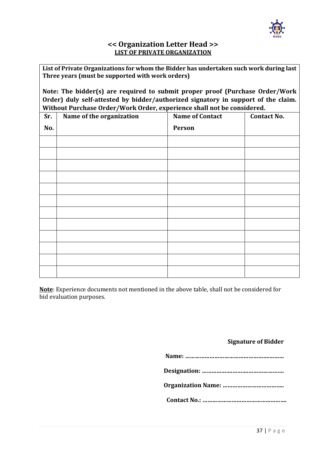

#### **<< Organization Letter Head >> LIST OF PRIVATE ORGANIZATION**

**List of Private Organizations for whom the Bidder has undertaken such work during last Three years (must be supported with work orders)**

**Note: The bidder(s) are required to submit proper proof (Purchase Order/Work Order) duly self-attested by bidder/authorized signatory in support of the claim. Without Purchase Order/Work Order, experience shall not be considered.**

| Sr. | Name of the organization | <b>Name of Contact</b> | <b>Contact No.</b> |
|-----|--------------------------|------------------------|--------------------|
| No. |                          | Person                 |                    |
|     |                          |                        |                    |
|     |                          |                        |                    |
|     |                          |                        |                    |
|     |                          |                        |                    |
|     |                          |                        |                    |
|     |                          |                        |                    |
|     |                          |                        |                    |
|     |                          |                        |                    |
|     |                          |                        |                    |
|     |                          |                        |                    |
|     |                          |                        |                    |
|     |                          |                        |                    |

**Note**: Experience documents not mentioned in the above table, shall not be considered for bid evaluation purposes.

#### **Signature of Bidder**

**Name: …………………………………………….………**

**Designation: ……………….……….………………….**

**Organization Name: ………………………………..**

**Contact No.: …………………………………………….**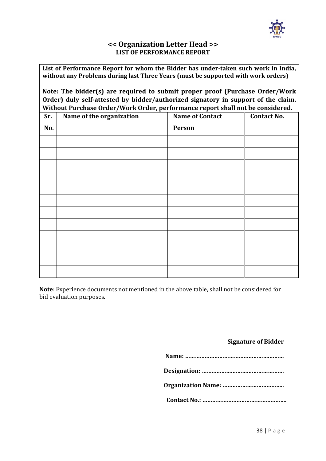

#### **<< Organization Letter Head >> LIST OF PERFORMANCE REPORT**

**List of Performance Report for whom the Bidder has under-taken such work in India, without any Problems during last Three Years (must be supported with work orders)**

**Note: The bidder(s) are required to submit proper proof (Purchase Order/Work Order) duly self-attested by bidder/authorized signatory in support of the claim. Without Purchase Order/Work Order, performance report shall not be considered.**

| Sr. | Name of the organization | <b>Name of Contact</b> | <b>Contact No.</b> |
|-----|--------------------------|------------------------|--------------------|
| No. |                          | Person                 |                    |
|     |                          |                        |                    |
|     |                          |                        |                    |
|     |                          |                        |                    |
|     |                          |                        |                    |
|     |                          |                        |                    |
|     |                          |                        |                    |
|     |                          |                        |                    |
|     |                          |                        |                    |
|     |                          |                        |                    |
|     |                          |                        |                    |
|     |                          |                        |                    |
|     |                          |                        |                    |

**Note**: Experience documents not mentioned in the above table, shall not be considered for bid evaluation purposes.

#### **Signature of Bidder**

**Name: …………………………………………….………**

**Designation: ……………….……….………………….**

**Organization Name: ………………………………..**

**Contact No.: …………………………………………….**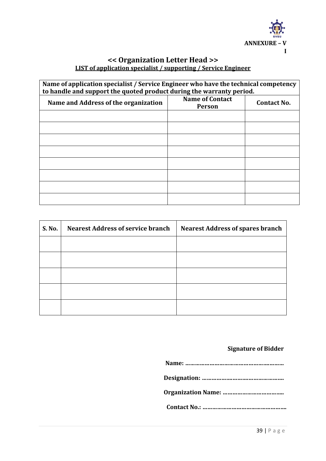

### **<< Organization Letter Head >> LIST of application specialist / supporting / Service Engineer**

| Name of application specialist / Service Engineer who have the technical competency<br>to handle and support the quoted product during the warranty period. |                                         |                    |
|-------------------------------------------------------------------------------------------------------------------------------------------------------------|-----------------------------------------|--------------------|
| Name and Address of the organization                                                                                                                        | <b>Name of Contact</b><br><b>Person</b> | <b>Contact No.</b> |
|                                                                                                                                                             |                                         |                    |
|                                                                                                                                                             |                                         |                    |
|                                                                                                                                                             |                                         |                    |
|                                                                                                                                                             |                                         |                    |
|                                                                                                                                                             |                                         |                    |
|                                                                                                                                                             |                                         |                    |
|                                                                                                                                                             |                                         |                    |
|                                                                                                                                                             |                                         |                    |

| S. No. | <b>Nearest Address of service branch</b> | <b>Nearest Address of spares branch</b> |
|--------|------------------------------------------|-----------------------------------------|
|        |                                          |                                         |
|        |                                          |                                         |
|        |                                          |                                         |
|        |                                          |                                         |
|        |                                          |                                         |

# **Signature of Bidder**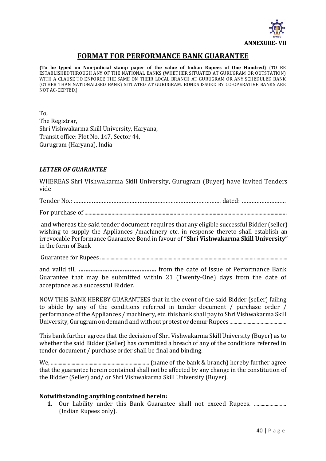

### **FORMAT FOR PERFORMANCE BANK GUARANTEE**

**(To be typed on Non-judicial stamp paper of the value of Indian Rupees of One Hundred)** (TO BE ESTABLISHEDTHROUGH ANY OF THE NATIONAL BANKS (WHETHER SITUATED AT GURUGRAM OR OUTSTATION) WITH A CLAUSE TO ENFORCE THE SAME ON THEIR LOCAL BRANCH AT GURUGRAM OR ANY SCHEDULED BANK (OTHER THAN NATIONALISED BANK) SITUATED AT GURUGRAM. BONDS ISSUED BY CO-OPERATIVE BANKS ARE NOT AC-CEPTED.)

To, The Registrar, Shri Vishwakarma Skill University, Haryana, Transit office: Plot No. 147, Sector 44, Gurugram (Haryana), India

#### *LETTER OF GUARANTEE*

WHEREAS Shri Vishwakarma Skill University, Gurugram (Buyer) have invited Tenders vide

Tender No.: ……………………………….………………………………….…………. dated: ………………………

For purchase of ......................................................................................................................................................

and whereas the said tender document requires that any eligible successful Bidder (seller) wishing to supply the Appliances /machinery etc. in response thereto shall establish an irrevocable Performance Guarantee Bond in favour of **"Shri Vishwakarma Skill University"**  in the form of Bank

Guarantee for Rupees .................................................................................................................................................

and valid till **……………………………………….** from the date of issue of Performance Bank Guarantee that may be submitted within 21 (Twenty-One) days from the date of acceptance as a successful Bidder.

NOW THIS BANK HEREBY GUARANTEES that in the event of the said Bidder (seller) failing to abide by any of the conditions referred in tender document / purchase order / performance of the Appliances / machinery, etc. this bank shall pay to Shri Vishwakarma Skill University, Gurugram on demand and without protest or demur Rupees ............................................

This bank further agrees that the decision of Shri Vishwakarma Skill University (Buyer) as to whether the said Bidder (Seller) has committed a breach of any of the conditions referred in tender document / purchase order shall be final and binding.

We, ............................................................................ (name of the bank & branch) hereby further agree that the guarantee herein contained shall not be affected by any change in the constitution of the Bidder (Seller) and/ or Shri Vishwakarma Skill University (Buyer).

#### **Notwithstanding anything contained herein:**

**1.** Our liability under this Bank Guarantee shall not exceed Rupees. .............................. (Indian Rupees only).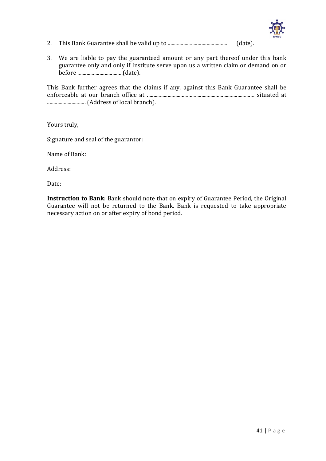

- 2. This Bank Guarantee shall be valid up to .............................................. (date).
- 3. We are liable to pay the guaranteed amount or any part thereof under this bank guarantee only and only if Institute serve upon us a written claim or demand on or before ...................................(date).

This Bank further agrees that the claims if any, against this Bank Guarantee shall be enforceable at our branch office at ................................................................................... situated at .............................. (Address of local branch).

Yours truly,

Signature and seal of the guarantor:

Name of Bank:

Address:

Date:

**Instruction to Bank**: Bank should note that on expiry of Guarantee Period, the Original Guarantee will not be returned to the Bank. Bank is requested to take appropriate necessary action on or after expiry of bond period.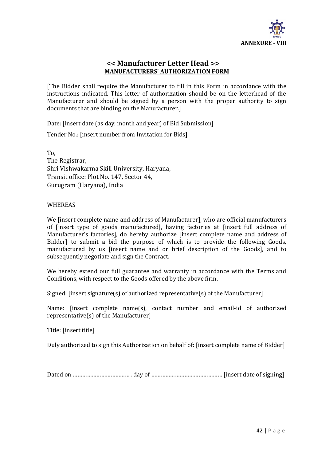

#### **<< Manufacturer Letter Head >> MANUFACTURERS' AUTHORIZATION FORM**

[The Bidder shall require the Manufacturer to fill in this Form in accordance with the instructions indicated. This letter of authorization should be on the letterhead of the Manufacturer and should be signed by a person with the proper authority to sign documents that are binding on the Manufacturer.]

Date: [insert date (as day, month and year) of Bid Submission]

Tender No.: [insert number from Invitation for Bids]

To, The Registrar, Shri Vishwakarma Skill University, Haryana, Transit office: Plot No. 147, Sector 44, Gurugram (Haryana), India

#### WHEREAS

We [insert complete name and address of Manufacturer], who are official manufacturers of [insert type of goods manufactured], having factories at [insert full address of Manufacturer's factories], do hereby authorize [insert complete name and address of Bidder] to submit a bid the purpose of which is to provide the following Goods, manufactured by us [insert name and or brief description of the Goods], and to subsequently negotiate and sign the Contract.

We hereby extend our full guarantee and warranty in accordance with the Terms and Conditions, with respect to the Goods offered by the above firm.

Signed: [insert signature(s) of authorized representative(s) of the Manufacturer]

Name: [insert complete name(s), contact number and email-id of authorized representative(s) of the Manufacturer]

Title: [insert title]

Duly authorized to sign this Authorization on behalf of: [insert complete name of Bidder]

Dated on ……………………………………………… day of ……………………………………………………… [insert date of signing]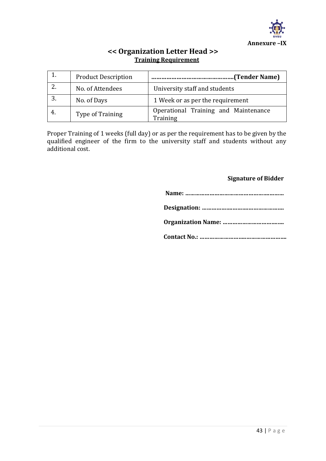

### **<< Organization Letter Head >> Training Requirement**

|     | <b>Product Description</b> | (Tender Name)                                    |
|-----|----------------------------|--------------------------------------------------|
|     | No. of Attendees           | University staff and students                    |
|     | No. of Days                | 1 Week or as per the requirement                 |
| -4. | Type of Training           | Operational Training and Maintenance<br>Training |

Proper Training of 1 weeks (full day) or as per the requirement has to be given by the qualified engineer of the firm to the university staff and students without any additional cost.

#### **Signature of Bidder**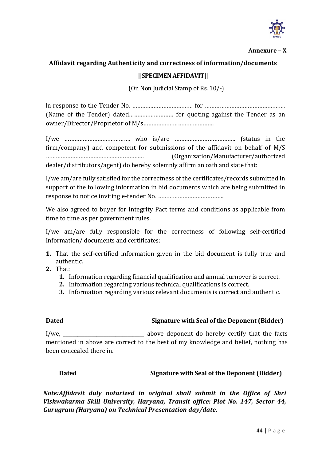

#### **Annexure – X**

# **Affidavit regarding Authenticity and correctness of information/documents**

#### **||SPECIMEN AFFIDAVIT||**

(On Non Judicial Stamp of Rs. 10/-)

ln response to the Tender No. ………….…………………… for …………………………………………. (Name of the Tender) dated……………………… for quoting against the Tender as an owner/Director/Proprietor of M/s…………………………………….

I/we …………………………………. who is/are ………………………………. (status in the firm/company) and competent for submissions of the affidavit on behalf of M/S …………………………………………………… (Organization/Manufacturer/authorized dealer/distributors/agent) do hereby solemnly affirm an oath and state that:

I/we am/are fully satisfied for the correctness of the certificates/records submitted in support of the following information in bid documents which are being submitted in response to notice inviting e-tender No. ………………………………….

We also agreed to buyer for Integrity Pact terms and conditions as applicable from time to time as per government rules.

I/we am/are fully responsible for the correctness of following self-certified Information/ documents and certificates:

- **1.** That the self-certified information given in the bid document is fully true and authentic.
- **2.** That:
	- **1.** Information regarding financial qualification and annual turnover is correct.
	- **2.** Information regarding various technical qualifications is correct.
	- **3.** Information regarding various relevant documents is correct and authentic.

#### **Dated Signature with Seal of the Deponent (Bidder)**

I/we, \_\_\_\_\_\_\_\_\_\_\_\_\_\_\_\_\_\_\_\_\_\_\_\_\_\_\_\_\_\_\_\_\_\_ above deponent do hereby certify that the facts mentioned in above are correct to the best of my knowledge and belief, nothing has been concealed there in.

#### **Dated Signature with Seal of the Deponent (Bidder)**

*Note:Affidavit duly notarized in original shall submit in the Office of Shri Vishwakarma Skill University, Haryana, Transit office: Plot No. 147, Sector 44, Gurugram (Haryana) on Technical Presentation day/date.*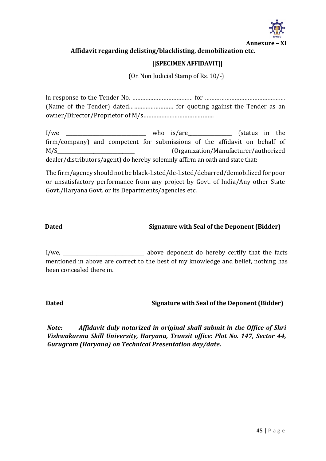

#### **Affidavit regarding delisting/blacklisting, demobilization etc.**

#### **||SPECIMEN AFFIDAVIT||**

(On Non Judicial Stamp of Rs. 10/-)

ln response to the Tender No. ………….…………………… for …………………………………………. (Name of the Tender) dated……………………… for quoting against the Tender as an owner/Director/Proprietor of M/s…………………………………….

I/we who is/are (status in the firm/company) and competent for submissions of the affidavit on behalf of M/S\_\_\_\_\_\_\_\_\_\_\_\_\_\_\_\_\_\_\_\_\_\_\_\_\_\_\_\_\_\_\_\_ (Organization/Manufacturer/authorized dealer/distributors/agent) do hereby solemnly affirm an oath and state that:

The firm/agency should not be black-listed/de-listed/debarred/demobilized for poor or unsatisfactory performance from any project by Govt. of India/Any other State Govt./Haryana Govt. or its Departments/agencies etc.

#### **Dated Signature with Seal of the Deponent (Bidder)**

I/we, \_\_\_\_\_\_\_\_\_\_\_\_\_\_\_\_\_\_\_\_\_\_\_\_\_\_\_\_\_\_\_\_\_\_ above deponent do hereby certify that the facts mentioned in above are correct to the best of my knowledge and belief, nothing has been concealed there in.

#### **Dated Signature with Seal of the Deponent (Bidder)**

*Note: Affidavit duly notarized in original shall submit in the Office of Shri Vishwakarma Skill University, Haryana, Transit office: Plot No. 147, Sector 44, Gurugram (Haryana) on Technical Presentation day/date.*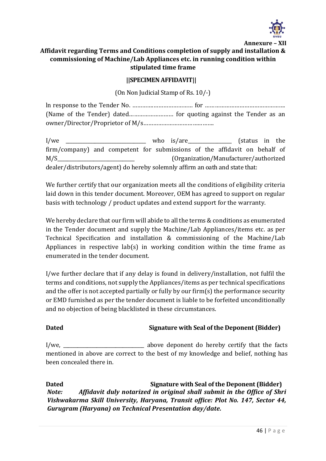

**Annexure – XII**

### **Affidavit regarding Terms and Conditions completion of supply and installation & commissioning of Machine/Lab Appliances etc. in running condition within stipulated time frame**

#### **||SPECIMEN AFFIDAVIT||**

(On Non Judicial Stamp of Rs. 10/-)

ln response to the Tender No. ………….…………………… for …………………………………………. (Name of the Tender) dated……………………… for quoting against the Tender as an owner/Director/Proprietor of M/s…………………………………….

I/we \_\_\_\_\_\_\_\_\_\_\_\_\_\_\_\_\_\_\_\_\_\_\_\_\_\_\_\_\_\_\_\_\_ who is/are\_\_\_\_\_\_\_\_\_\_\_\_\_\_\_\_\_\_ (status in the firm/company) and competent for submissions of the affidavit on behalf of M/S\_\_\_\_\_\_\_\_\_\_\_\_\_\_\_\_\_\_\_\_\_\_\_\_\_\_\_\_\_\_\_\_ (Organization/Manufacturer/authorized dealer/distributors/agent) do hereby solemnly affirm an oath and state that:

We further certify that our organization meets all the conditions of eligibility criteria laid down in this tender document. Moreover, OEM has agreed to support on regular basis with technology / product updates and extend support for the warranty.

We hereby declare that our firm will abide to all the terms & conditions as enumerated in the Tender document and supply the Machine/Lab Appliances/items etc. as per Technical Specification and installation & commissioning of the Machine/Lab Appliances in respective lab(s) in working condition within the time frame as enumerated in the tender document.

I/we further declare that if any delay is found in delivery/installation, not fulfil the terms and conditions, not supply the Appliances/items as per technical specifications and the offer is not accepted partially or fully by our firm(s) the performance security or EMD furnished as per the tender document is liable to be forfeited unconditionally and no objection of being blacklisted in these circumstances.

# **Dated Signature with Seal of the Deponent (Bidder)**

I/we, \_\_\_\_\_\_\_\_\_\_\_\_\_\_\_\_\_\_\_\_\_\_\_\_\_\_\_\_\_\_\_\_\_\_ above deponent do hereby certify that the facts mentioned in above are correct to the best of my knowledge and belief, nothing has been concealed there in.

**Dated Signature with Seal of the Deponent (Bidder)** *Note: Affidavit duly notarized in original shall submit in the Office of Shri Vishwakarma Skill University, Haryana, Transit office: Plot No. 147, Sector 44, Gurugram (Haryana) on Technical Presentation day/date.*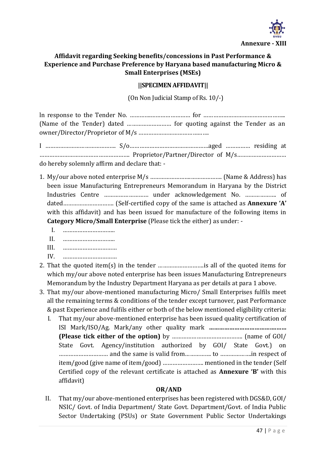

### **Affidavit regarding Seeking benefits/concessions in Past Performance & Experience and Purchase Preference by Haryana based manufacturing Micro & Small Enterprises (MSEs)**

#### **||SPECIMEN AFFIDAVIT||**

(On Non Judicial Stamp of Rs. 10/-)

ln response to the Tender No. ………….…………………… for ………………………………………….. (Name of the Tender) dated ……………………… for quoting against the Tender as an owner/Director/Proprietor of M/s …………………………………….

I ……………………………………. S/o…………………………………………aged …………… residing at ………………………………………………. Proprietor/Partner/Director of M/s………………………… do hereby solemnly affirm and declare that: -

- 1. My/our above noted enterprise M/s …………………….………………. (Name & Address) has been issue Manufacturing Entrepreneurs Memorandum in Haryana by the District Industries Centre ……………………… under acknowledgement No. ………………. of dated…………………………. (Self-certified copy of the same is attached as **Annexure 'A'** with this affidavit) and has been issued for manufacture of the following items in **Category Micro/Small Enterprise** (Please tick the either) as under: -
	- I. ………………………….. II. ………………………….. III. …………………………… IV. ……………………………
- 2. That the quoted item(s) in the tender ……………………….is all of the quoted items for which my/our above noted enterprise has been issues Manufacturing Entrepreneurs Memorandum by the Industry Department Haryana as per details at para 1 above.
- 3. That my/our above-mentioned manufacturing Micro/ Small Enterprises fulfils meet all the remaining terms & conditions of the tender except turnover, past Performance & past Experience and fulfils either or both of the below mentioned eligibility criteria:
	- I. That my/our above-mentioned enterprise has been issued quality certification of ISI Mark/ISO/Ag. Mark/any other quality mark **………………………………….…… (Please tick either of the option)** by ……………………………………. (name of GOI/ State Govt. Agency/institution authorized by GOI/ State Govt.) on ………………………… and the same is valid from……………. to ……………….in respect of item/good (give name of item/good) ……………………. mentioned in the tender (Self Certified copy of the relevant certificate is attached as **Annexure 'B'** with this affidavit)

#### **OR/AND**

II. That my/our above-mentioned enterprises has been registered with DGS&D, GOI/ NSIC/ Govt. of India Department/ State Govt. Department/Govt. of India Public Sector Undertaking (PSUs) or State Government Public Sector Undertakings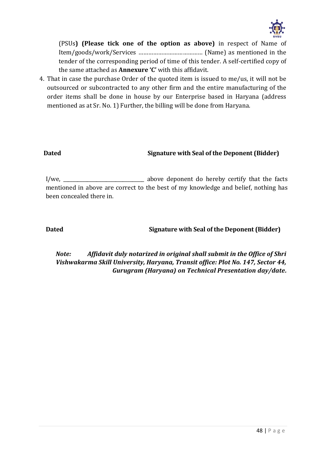

(PSUs**) (Please tick one of the option as above)** in respect of Name of Item/goods/work/Services ………………………………… (Name) as mentioned in the tender of the corresponding period of time of this tender. A self-certified copy of the same attached as **Annexure 'C'** with this affidavit.

4. That in case the purchase Order of the quoted item is issued to me/us, it will not be outsourced or subcontracted to any other firm and the entire manufacturing of the order items shall be done in house by our Enterprise based in Haryana (address mentioned as at Sr. No. 1) Further, the billing will be done from Haryana.

#### **Dated Signature with Seal of the Deponent (Bidder)**

I/we, \_\_\_\_\_\_\_\_\_\_\_\_\_\_\_\_\_\_\_\_\_\_\_\_\_\_\_\_\_\_\_\_\_\_ above deponent do hereby certify that the facts mentioned in above are correct to the best of my knowledge and belief, nothing has been concealed there in.

### **Dated Signature with Seal of the Deponent (Bidder)**

*Note: Affidavit duly notarized in original shall submit in the Office of Shri Vishwakarma Skill University, Haryana, Transit office: Plot No. 147, Sector 44, Gurugram (Haryana) on Technical Presentation day/date.*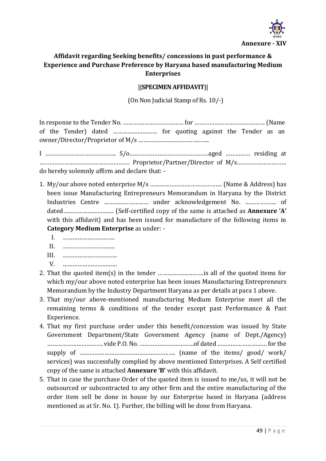

# **Affidavit regarding Seeking benefits/ concessions in past performance & Experience and Purchase Preference by Haryana based manufacturing Medium Enterprises**

#### **||SPECIMEN AFFIDAVIT||**

(On Non Judicial Stamp of Rs. 10/-)

ln response to the Tender No. ………….…………………… for ……………………………………. (Name of the Tender) dated ……………………… for quoting against the Tender as an owner/Director/Proprietor of M/s …………………………………….

I ……………………………………. S/o…………………………………………aged …………… residing at ………………………………………………. Proprietor/Partner/Director of M/s………………………… do hereby solemnly affirm and declare that: -

- 1. My/our above noted enterprise M/s …………………….………………. (Name & Address) has been issue Manufacturing Entrepreneurs Memorandum in Haryana by the District Industries Centre ……………………… under acknowledgement No. ………………. of dated…………………………. (Self-certified copy of the same is attached as **Annexure 'A'** with this affidavit) and has been issued for manufacture of the following items in **Category Medium Enterprise** as under: -
	- I. …………………………..  $II \qquad \qquad$ III. …………………………… V. ……………………………
- 2. That the quoted item(s) in the tender ……………………….is all of the quoted items for which my/our above noted enterprise has been issues Manufacturing Entrepreneurs Memorandum by the Industry Department Haryana as per details at para 1 above.
- 3. That my/our above-mentioned manufacturing Medium Enterprise meet all the remaining terms & conditions of the tender except past Performance & Past Experience.
- 4. That my first purchase order under this benefit/concession was issued by State Government Department/State Government Agency (name of Dept./Agency) ……………………………. vide P.O. No. ……………………………of dated ………………………… for the supply of …………………………………………………. (name of the items/ good/ work/ services) was successfully complied by above mentioned Enterprises. A Self certified copy of the same is attached **Annexure 'B'** with this affidavit.
- 5. That in case the purchase Order of the quoted item is issued to me/us, it will not be outsourced or subcontracted to any other firm and the entire manufacturing of the order item sell be done in house by our Enterprise based in Haryana (address mentioned as at Sr. No. 1). Further, the billing will be done from Haryana.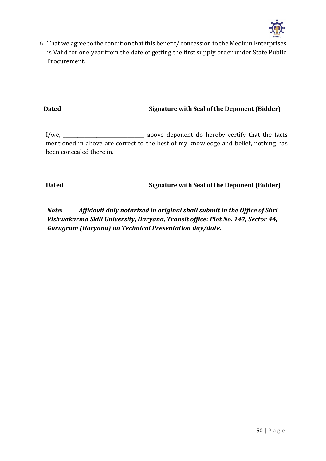

6. That we agree to the condition that this benefit/ concession to the Medium Enterprises is Valid for one year from the date of getting the first supply order under State Public Procurement.

#### **Dated Signature with Seal of the Deponent (Bidder)**

I/we, \_\_\_\_\_\_\_\_\_\_\_\_\_\_\_\_\_\_\_\_\_\_\_\_\_\_\_\_\_\_\_\_\_\_ above deponent do hereby certify that the facts mentioned in above are correct to the best of my knowledge and belief, nothing has been concealed there in.

**Dated Signature with Seal of the Deponent (Bidder)**

*Note: Affidavit duly notarized in original shall submit in the Office of Shri Vishwakarma Skill University, Haryana, Transit office: Plot No. 147, Sector 44, Gurugram (Haryana) on Technical Presentation day/date.*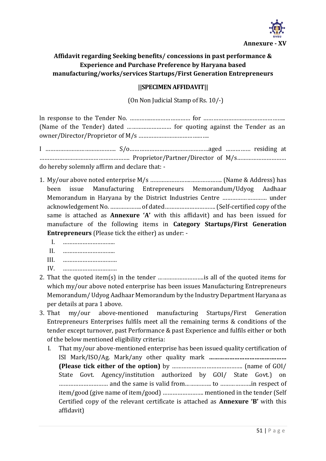

# **Affidavit regarding Seeking benefits/ concessions in past performance & Experience and Purchase Preference by Haryana based manufacturing/works/services Startups/First Generation Entrepreneurs**

#### **||SPECIMEN AFFIDAVIT||**

(On Non Judicial Stamp of Rs. 10/-)

ln response to the Tender No. ………….…………………… for ………………………………………….. (Name of the Tender) dated ……………………… for quoting against the Tender as an owner/Director/Proprietor of M/s …………………………………….

I ……………………………………. S/o…………………………………………aged …………… residing at ………………………………………………. Proprietor/Partner/Director of M/s………………………… do hereby solemnly affirm and declare that: -

- 1. My/our above noted enterprise M/s …………………….………………. (Name & Address) has been issue Manufacturing Entrepreneurs Memorandum/Udyog Aadhaar Memorandum in Haryana by the District Industries Centre ……………………… under acknowledgement No. ………………. of dated…………………………. (Self-certified copy of the same is attached as **Annexure 'A'** with this affidavit) and has been issued for manufacture of the following items in **Category Startups/First Generation Entrepreneurs** (Please tick the either) as under: -
	- I. …………………………..  $II$ .  $\blacksquare$ III. …………………………… IV. ……………………………
- 2. That the quoted item(s) in the tender ……………………….is all of the quoted items for which my/our above noted enterprise has been issues Manufacturing Entrepreneurs Memorandum/ Udyog Aadhaar Memorandum by the Industry Department Haryana as per details at para 1 above.
- 3. That my/our above-mentioned manufacturing Startups/First Generation Entrepreneurs Enterprises fulfils meet all the remaining terms & conditions of the tender except turnover, past Performance & past Experience and fulfils either or both of the below mentioned eligibility criteria:
	- I. That my/our above-mentioned enterprise has been issued quality certification of ISI Mark/ISO/Ag. Mark/any other quality mark **………………………………….…… (Please tick either of the option)** by ……………………………………. (name of GOI/ State Govt. Agency/institution authorized by GOI/ State Govt.) on ………………………… and the same is valid from……………. to ……………….in respect of item/good (give name of item/good) ……………………. mentioned in the tender (Self Certified copy of the relevant certificate is attached as **Annexure 'B'** with this affidavit)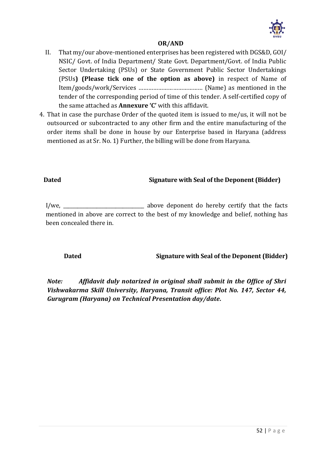

#### **OR/AND**

- II. That my/our above-mentioned enterprises has been registered with DGS&D, GOI/ NSIC/ Govt. of India Department/ State Govt. Department/Govt. of India Public Sector Undertaking (PSUs) or State Government Public Sector Undertakings (PSUs**) (Please tick one of the option as above)** in respect of Name of Item/goods/work/Services ………………………………… (Name) as mentioned in the tender of the corresponding period of time of this tender. A self-certified copy of the same attached as **Annexure 'C'** with this affidavit.
- 4. That in case the purchase Order of the quoted item is issued to me/us, it will not be outsourced or subcontracted to any other firm and the entire manufacturing of the order items shall be done in house by our Enterprise based in Haryana (address mentioned as at Sr. No. 1) Further, the billing will be done from Haryana.

### **Dated Signature with Seal of the Deponent (Bidder)**

I/we, \_\_\_\_\_\_\_\_\_\_\_\_\_\_\_\_\_\_\_\_\_\_\_\_\_\_\_\_\_\_\_\_\_\_ above deponent do hereby certify that the facts mentioned in above are correct to the best of my knowledge and belief, nothing has been concealed there in.

#### **Dated Signature with Seal of the Deponent (Bidder)**

*Note: Affidavit duly notarized in original shall submit in the Office of Shri Vishwakarma Skill University, Haryana, Transit office: Plot No. 147, Sector 44, Gurugram (Haryana) on Technical Presentation day/date.*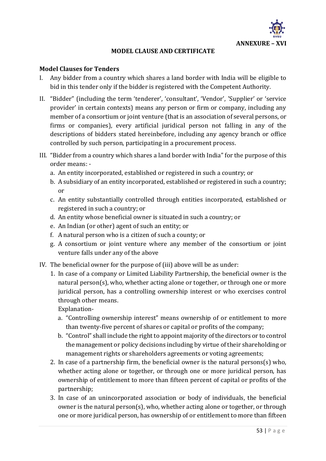

#### **MODEL CLAUSE AND CERTIFICATE**

#### **Model Clauses for Tenders**

- I. Any bidder from a country which shares a land border with India will be eligible to bid in this tender only if the bidder is registered with the Competent Authority.
- II. "Bidder" (including the term 'tenderer', 'consultant', 'Vendor', 'Supplier' or 'service provider' in certain contexts) means any person or firm or company, including any member of a consortium or joint venture (that is an association of several persons, or firms or companies), every artificial juridical person not falling in any of the descriptions of bidders stated hereinbefore, including any agency branch or office controlled by such person, participating in a procurement process.
- III. "Bidder from a country which shares a land border with India" for the purpose of this order means:
	- a. An entity incorporated, established or registered in such a country; or
	- b. A subsidiary of an entity incorporated, established or registered in such a country; or
	- c. An entity substantially controlled through entities incorporated, established or registered in such a country; or
	- d. An entity whose beneficial owner is situated in such a country; or
	- e. An Indian (or other) agent of such an entity; or
	- f. A natural person who is a citizen of such a county; or
	- g. A consortium or joint venture where any member of the consortium or joint venture falls under any of the above
- IV. The beneficial owner for the purpose of (iii) above will be as under:
	- 1. In case of a company or Limited Liability Partnership, the beneficial owner is the natural person(s), who, whether acting alone or together, or through one or more juridical person, has a controlling ownership interest or who exercises control through other means.

Explanation-

- a. "Controlling ownership interest" means ownership of or entitlement to more than twenty-five percent of shares or capital or profits of the company;
- b. "Control" shall include the right to appoint majority of the directors or to control the management or policy decisions including by virtue of their shareholding or management rights or shareholders agreements or voting agreements;
- 2. In case of a partnership firm, the beneficial owner is the natural persons(s) who, whether acting alone or together, or through one or more juridical person, has ownership of entitlement to more than fifteen percent of capital or profits of the partnership;
- 3. In case of an unincorporated association or body of individuals, the beneficial owner is the natural person(s), who, whether acting alone or together, or through one or more juridical person, has ownership of or entitlement to more than fifteen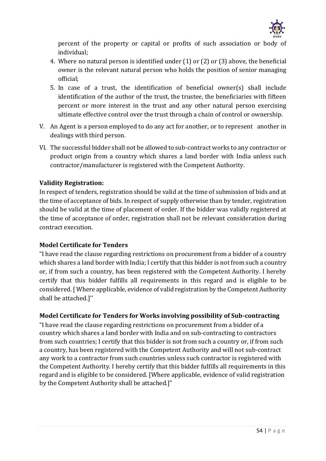

percent of the property or capital or profits of such association or body of individual;

- 4. Where no natural person is identified under (1) or (2) or (3) above, the beneficial owner is the relevant natural person who holds the position of senior managing official;
- 5. In case of a trust, the identification of beneficial owner(s) shall include identification of the author of the trust, the trustee, the beneficiaries with fifteen percent or more interest in the trust and any other natural person exercising ultimate effective control over the trust through a chain of control or ownership.
- V. An Agent is a person employed to do any act for another, or to represent another in dealings with third person.
- VI. The successful bidder shall not be allowed to sub-contract works to any contractor or product origin from a country which shares a land border with India unless such contractor/manufacturer is registered with the Competent Authority.

#### **Validity Registration:**

In respect of tenders, registration should be valid at the time of submission of bids and at the time of acceptance of bids. In respect of supply otherwise than by tender, registration should be valid at the time of placement of order. If the bidder was validly registered at the time of acceptance of order, registration shall not be relevant consideration during contract execution.

#### **Model Certificate for Tenders**

"I have read the clause regarding restrictions on procurement from a bidder of a country which shares a land border with India; I certify that this bidder is not from such a country or, if from such a country, has been registered with the Competent Authority. I hereby certify that this bidder fulfills all requirements in this regard and is eligible to be considered. [ Where applicable, evidence of valid registration by the Competent Authority shall be attached.]''

#### **Model Certificate for Tenders for Works involving possibility of Sub-contracting**

"I have read the clause regarding restrictions on procurement from a bidder of a country which shares a land border with India and on sub-contracting to contractors from such countries; I certify that this bidder is not from such a country or, if from such a country, has been registered with the Competent Authority and will not sub-contract any work to a contractor from such countries unless such contractor is registered with the Competent Authority. I hereby certify that this bidder fulfills all requirements in this regard and is eligible to be considered. [Where applicable, evidence of valid registration by the Competent Authority shall be attached.]"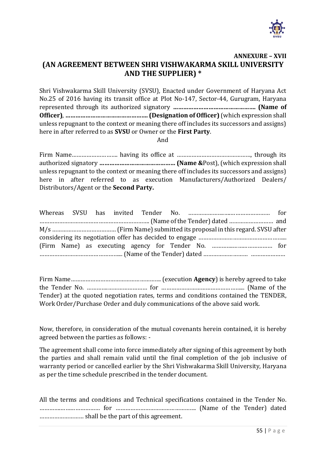

#### **ANNEXURE – XVII (AN AGREEMENT BETWEEN SHRI VISHWAKARMA SKILL UNIVERSITY AND THE SUPPLIER) \***

Shri Vishwakarma Skill University (SVSU), Enacted under Government of Haryana Act No.25 of 2016 having its transit office at Plot No-147, Sector-44, Gurugram, Haryana represented through its authorized signatory **…………………………………………. (Name of Officer)**, **…………………………………………. (Designation of Officer)** (which expression shall unless repugnant to the context or meaning there off includes its successors and assigns) here in after referred to as **SVSU** or Owner or the **First Party**.

And

Firm Name………………………. having its office at ………………………………………, through its authorized signatory **……………………………………… (Name &**Post), (which expression shall unless repugnant to the context or meaning there off includes its successors and assigns) here in after referred to as execution Manufacturers/Authorized Dealers/ Distributors/Agent or the **Second Party.**

Firm Name………………………………………………. (execution **Agency**) is hereby agreed to take the Tender No. ………….…………………… for …………………………………………... (Name of the Tender) at the quoted negotiation rates, terms and conditions contained the TENDER, Work Order/Purchase Order and duly communications of the above said work.

Now, therefore, in consideration of the mutual covenants herein contained, it is hereby agreed between the parties as follows: -

The agreement shall come into force immediately after signing of this agreement by both the parties and shall remain valid until the final completion of the job inclusive of warranty period or cancelled earlier by the Shri Vishwakarma Skill University, Haryana as per the time schedule prescribed in the tender document.

| All the terms and conditions and Technical specifications contained in the Tender No. |  |  |
|---------------------------------------------------------------------------------------|--|--|
|                                                                                       |  |  |
|                                                                                       |  |  |